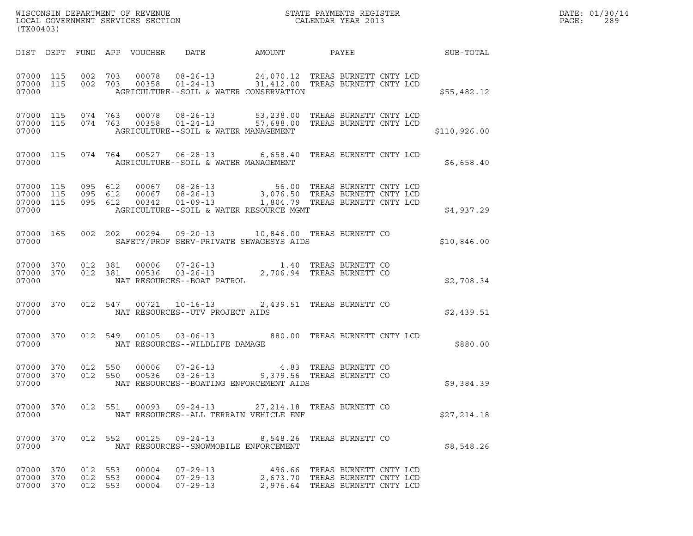| (TX00403)                                    |                   |                    |                         |                                              | ${\tt WISCOONSIM\ DEPARTMENT\ OF\ REVENUE}\ {\tt LOCALENDAR\ VER\ 1002AL\ GOVERNMENT\ SERVICES\ SECTION\ }$                                                                                                        |                                                                                                     |  | DATE: 01/30/14<br>PAGE:<br>289 |  |
|----------------------------------------------|-------------------|--------------------|-------------------------|----------------------------------------------|--------------------------------------------------------------------------------------------------------------------------------------------------------------------------------------------------------------------|-----------------------------------------------------------------------------------------------------|--|--------------------------------|--|
|                                              |                   |                    |                         | DIST DEPT FUND APP VOUCHER DATE              |                                                                                                                                                                                                                    |                                                                                                     |  |                                |  |
| 07000 115<br>07000                           | 07000 115 002 703 |                    |                         |                                              | 002 703 00078 08-26-13 24,070.12 TREAS BURNETT CNTY LCD 002 703 00358 01-24-13 31,412.00 TREAS BURNETT CNTY LCD<br>AGRICULTURE--SOIL & WATER CONSERVATION                                                          |                                                                                                     |  | \$55,482.12                    |  |
| 07000 115<br>07000 115<br>07000              |                   |                    |                         | AGRICULTURE--SOIL & WATER MANAGEMENT         | 074  763  00078  08-26-13  53,238.00 TREAS BURNETT CNTY LCD<br>074  763  00358  01-24-13  57,688.00 TREAS BURNETT CNTY LCD                                                                                         |                                                                                                     |  | \$110,926.00                   |  |
| 07000                                        |                   |                    |                         | AGRICULTURE--SOIL & WATER MANAGEMENT         | 07000 115 074 764 00527 06-28-13 6,658.40 TREAS BURNETT CNTY LCD                                                                                                                                                   |                                                                                                     |  | \$6,658.40                     |  |
| 07000 115<br>07000 115<br>07000 115<br>07000 |                   |                    |                         |                                              | 095 612 00067 08-26-13 56.00 TREAS BURNETT CNTY LCD<br>095 612 00067 08-26-13 3,076.50 TREAS BURNETT CNTY LCD<br>095 612 00342 01-09-13 1,804.79 TREAS BURNETT CNTY LCD<br>AGRICULTURE--SOIL & WATER RESOURCE MGMT |                                                                                                     |  | \$4,937.29                     |  |
| 07000 165<br>07000                           |                   |                    |                         |                                              | 002  202  00294  09-20-13  10,846.00 TREAS BURNETT CO<br>SAFETY/PROF SERV-PRIVATE SEWAGESYS AIDS                                                                                                                   |                                                                                                     |  | \$10,846.00                    |  |
| 07000                                        |                   |                    |                         | NAT RESOURCES--BOAT PATROL                   | 07000 370 012 381 00006 07-26-13 1.40 TREAS BURNETT CO<br>07000 370 012 381 00536 03-26-13 2,706.94 TREAS BURNETT CO                                                                                               |                                                                                                     |  | \$2,708.34                     |  |
| 07000 370<br>07000                           |                   |                    |                         | NAT RESOURCES--UTV PROJECT AIDS              | 012 547 00721 10-16-13 2,439.51 TREAS BURNETT CO                                                                                                                                                                   |                                                                                                     |  | \$2,439.51                     |  |
| 07000 370<br>07000                           |                   |                    |                         | NAT RESOURCES--WILDLIFE DAMAGE               | 012 549 00105 03-06-13 880.00 TREAS BURNETT CNTY LCD                                                                                                                                                               |                                                                                                     |  | \$880.00                       |  |
| 07000 370<br>07000 370<br>07000              |                   | 012 550<br>012 550 |                         |                                              | NAT RESOURCES--BOATING ENFORCEMENT AIDS                                                                                                                                                                            |                                                                                                     |  | \$9,384.39                     |  |
| 07000 370<br>07000                           |                   |                    |                         |                                              | 012 551 00093 09-24-13 27, 214.18 TREAS BURNETT CO<br>NAT RESOURCES--ALL TERRAIN VEHICLE ENF                                                                                                                       |                                                                                                     |  | \$27,214.18                    |  |
| 07000 370<br>07000                           |                   |                    |                         | NAT RESOURCES--SNOWMOBILE ENFORCEMENT        | 012 552 00125 09-24-13 8,548.26 TREAS BURNETT CO                                                                                                                                                                   |                                                                                                     |  | \$8,548.26                     |  |
| 07000 370<br>07000 370<br>07000 370          | 012 553           | 012 553<br>012 553 | 00004<br>00004<br>00004 | $07 - 29 - 13$<br>$07 - 29 - 13$<br>07-29-13 |                                                                                                                                                                                                                    | 496.66 TREAS BURNETT CNTY LCD<br>2,673.70 TREAS BURNETT CNTY LCD<br>2,976.64 TREAS BURNETT CNTY LCD |  |                                |  |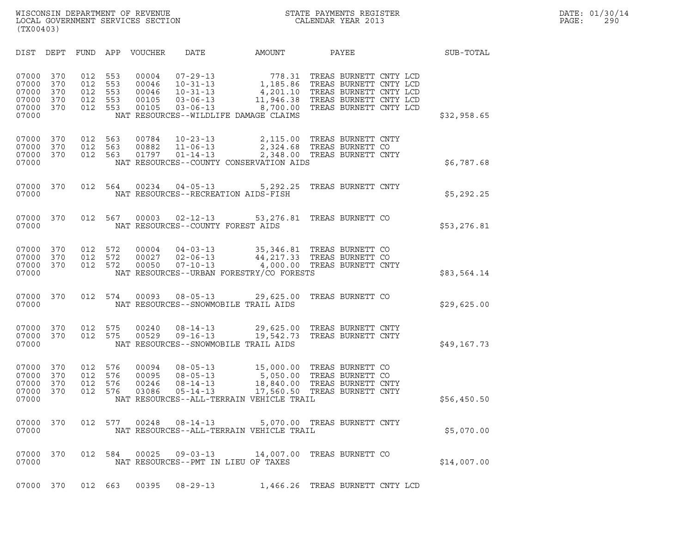| (TX00403)                                                                             |                                 |                                 |                                           |                                                                                                                                 |                                                                    |                                                                                                                                |             |
|---------------------------------------------------------------------------------------|---------------------------------|---------------------------------|-------------------------------------------|---------------------------------------------------------------------------------------------------------------------------------|--------------------------------------------------------------------|--------------------------------------------------------------------------------------------------------------------------------|-------------|
| DIST<br>DEPT                                                                          | FUND                            | APP                             | <b>VOUCHER</b>                            | DATE                                                                                                                            | AMOUNT                                                             | PAYEE                                                                                                                          | SUB-TOTAL   |
| 07000<br>370<br>07000<br>370<br>370<br>07000<br>07000<br>370<br>370<br>07000<br>07000 | 012<br>012<br>012<br>012<br>012 | 553<br>553<br>553<br>553<br>553 | 00004<br>00046<br>00046<br>00105<br>00105 | $07 - 29 - 13$<br>$10 - 31 - 13$<br>$10 - 31 - 13$<br>$03 - 06 - 13$<br>$03 - 06 - 13$<br>NAT RESOURCES--WILDLIFE DAMAGE CLAIMS | 778.31<br>1,185.86<br>4,201.10<br>11,946.38<br>8,700.00            | TREAS BURNETT CNTY LCD<br>TREAS BURNETT CNTY LCD<br>TREAS BURNETT CNTY LCD<br>TREAS BURNETT CNTY LCD<br>TREAS BURNETT CNTY LCD | \$32,958.65 |
| 07000<br>370<br>07000<br>370<br>370<br>07000<br>07000                                 | 012<br>012<br>012               | 563<br>563<br>563               | 00784<br>00882<br>01797                   | $10 - 23 - 13$<br>$11 - 06 - 13$<br>$01 - 14 - 13$                                                                              | 2,348.00<br>NAT RESOURCES--COUNTY CONSERVATION AIDS                | 2,115.00 TREAS BURNETT CNTY<br>2,324.68 TREAS BURNETT CO<br>TREAS BURNETT CNTY                                                 | \$6,787.68  |
| 07000<br>370<br>07000                                                                 | 012                             | 564                             | 00234                                     | $04 - 05 - 13$<br>NAT RESOURCES--RECREATION AIDS-FISH                                                                           | 5,292.25                                                           | TREAS BURNETT CNTY                                                                                                             | \$5,292.25  |
| 07000<br>370<br>07000                                                                 | 012                             | 567                             | 00003                                     | $02 - 12 - 13$<br>NAT RESOURCES--COUNTY FOREST AIDS                                                                             | 53,276.81                                                          | TREAS BURNETT CO                                                                                                               | \$53,276.81 |
| 07000<br>370<br>370<br>07000<br>370<br>07000<br>07000                                 | 012<br>012<br>012               | 572<br>572<br>572               | 00004<br>00027<br>00050                   | $04 - 03 - 13$<br>$02 - 06 - 13$<br>$07 - 10 - 13$                                                                              | NAT RESOURCES--URBAN FORESTRY/CO FORESTS                           | 35,346.81 TREAS BURNETT CO<br>44,217.33 TREAS BURNETT CO<br>4,000.00 TREAS BURNETT CNTY                                        | \$83,564.14 |
| 07000<br>370<br>07000                                                                 | 012                             | 574                             | 00093                                     | $08 - 05 - 13$<br>NAT RESOURCES--SNOWMOBILE TRAIL AIDS                                                                          | 29,625.00                                                          | TREAS BURNETT CO                                                                                                               | \$29,625.00 |
| 07000<br>370<br>07000<br>370<br>07000                                                 | 012<br>012                      | 575<br>575                      | 00240<br>00529                            | $08 - 14 - 13$<br>$09 - 16 - 13$<br>NAT RESOURCES--SNOWMOBILE TRAIL AIDS                                                        | 29,625.00<br>19,542.73                                             | TREAS BURNETT CNTY<br>TREAS BURNETT CNTY                                                                                       | \$49,167.73 |
| 07000<br>370<br>370<br>07000<br>07000<br>370<br>370<br>07000<br>07000                 | 012<br>012<br>012<br>012        | 576<br>576<br>576<br>576        | 00094<br>00095<br>00246<br>03086          | $08 - 05 - 13$<br>$08 - 05 - 13$<br>$08 - 14 - 13$<br>$05 - 14 - 13$                                                            | 15,000.00<br>18,840.00<br>NAT RESOURCES--ALL-TERRAIN VEHICLE TRAIL | TREAS BURNETT CO<br>5,050.00 TREAS BURNETT CO<br>TREAS BURNETT CNTY<br>17,560.50 TREAS BURNETT CNTY                            | \$56,450.50 |
| 07000<br>370<br>07000                                                                 |                                 |                                 |                                           |                                                                                                                                 | NAT RESOURCES--ALL-TERRAIN VEHICLE TRAIL                           | 012 577 00248 08-14-13 5,070.00 TREAS BURNETT CNTY                                                                             | \$5,070.00  |
| 07000<br>370<br>07000                                                                 |                                 | 012 584                         | 00025                                     | $09 - 03 - 13$<br>NAT RESOURCES--PMT IN LIEU OF TAXES                                                                           | 14,007.00                                                          | TREAS BURNETT CO                                                                                                               | \$14,007.00 |
| 370<br>07000                                                                          |                                 | 012 663                         | 00395                                     | $08 - 29 - 13$                                                                                                                  |                                                                    | 1,466.26 TREAS BURNETT CNTY LCD                                                                                                |             |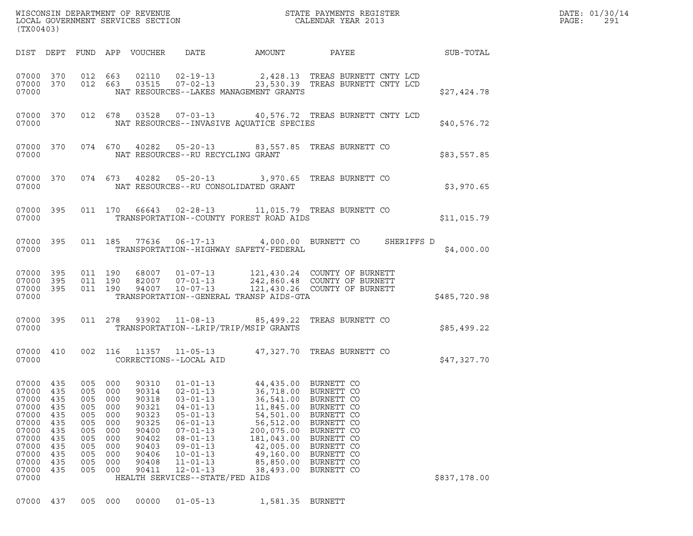| WISCONSIN DEPARTMENT OF REVENUE<br>LOCAL GOVERNMENT SERVICES SECTION<br>(TX00403) | STATE PAYMENTS REGISTER<br>CALENDAR YEAR 2013 | DATE: 01/30/14<br>PAGE:<br>-291 |
|-----------------------------------------------------------------------------------|-----------------------------------------------|---------------------------------|

| (TX00403)                                                                                                                                                                                             |                                                                                  |                                                                                                                                                                                              |                                                                                                                                                                                                                                                         |                                                                                                                     |                                                                                                                                                                                                    |              |
|-------------------------------------------------------------------------------------------------------------------------------------------------------------------------------------------------------|----------------------------------------------------------------------------------|----------------------------------------------------------------------------------------------------------------------------------------------------------------------------------------------|---------------------------------------------------------------------------------------------------------------------------------------------------------------------------------------------------------------------------------------------------------|---------------------------------------------------------------------------------------------------------------------|----------------------------------------------------------------------------------------------------------------------------------------------------------------------------------------------------|--------------|
| DIST<br>DEPT                                                                                                                                                                                          | FUND                                                                             | APP<br>VOUCHER                                                                                                                                                                               | DATE                                                                                                                                                                                                                                                    | AMOUNT                                                                                                              | PAYEE                                                                                                                                                                                              | SUB-TOTAL    |
| 07000<br>370<br>07000<br>370<br>07000                                                                                                                                                                 | 012<br>012                                                                       | 663<br>02110<br>663<br>03515                                                                                                                                                                 | $02 - 19 - 13$<br>$07 - 02 - 13$<br>NAT RESOURCES--LAKES MANAGEMENT GRANTS                                                                                                                                                                              |                                                                                                                     | 2,428.13 TREAS BURNETT CNTY LCD<br>23,530.39 TREAS BURNETT CNTY LCD                                                                                                                                | \$27,424.78  |
| 07000<br>370<br>07000                                                                                                                                                                                 | 012                                                                              | 678<br>03528                                                                                                                                                                                 | $07 - 03 - 13$<br>NAT RESOURCES--INVASIVE AQUATICE SPECIES                                                                                                                                                                                              |                                                                                                                     | 40,576.72 TREAS BURNETT CNTY LCD                                                                                                                                                                   | \$40,576.72  |
| 07000<br>370<br>07000                                                                                                                                                                                 | 074                                                                              | 670<br>40282                                                                                                                                                                                 | $05 - 20 - 13$<br>NAT RESOURCES--RU RECYCLING GRANT                                                                                                                                                                                                     | 83,557.85                                                                                                           | TREAS BURNETT CO                                                                                                                                                                                   | \$83,557.85  |
| 07000<br>370<br>07000                                                                                                                                                                                 | 074                                                                              | 673<br>40282                                                                                                                                                                                 | $05 - 20 - 13$<br>NAT RESOURCES--RU CONSOLIDATED GRANT                                                                                                                                                                                                  | 3,970.65                                                                                                            | TREAS BURNETT CO                                                                                                                                                                                   | \$3,970.65   |
| 07000<br>395<br>07000                                                                                                                                                                                 | 011                                                                              | 170<br>66643                                                                                                                                                                                 | $02 - 28 - 13$<br>TRANSPORTATION--COUNTY FOREST ROAD AIDS                                                                                                                                                                                               |                                                                                                                     | 11,015.79 TREAS BURNETT CO                                                                                                                                                                         | \$11,015.79  |
| 07000<br>395<br>07000                                                                                                                                                                                 | 011                                                                              | 185<br>77636                                                                                                                                                                                 | $06 - 17 - 13$<br>TRANSPORTATION--HIGHWAY SAFETY-FEDERAL                                                                                                                                                                                                |                                                                                                                     | 4,000.00 BURNETT CO<br>SHERIFFS D                                                                                                                                                                  | \$4,000.00   |
| 07000<br>395<br>07000<br>395<br>07000<br>395<br>07000                                                                                                                                                 | 011<br>011<br>011                                                                | 190<br>68007<br>190<br>82007<br>190<br>94007                                                                                                                                                 | $01 - 07 - 13$<br>$07 - 01 - 13$<br>$10 - 07 - 13$<br>TRANSPORTATION--GENERAL TRANSP AIDS-GTA                                                                                                                                                           |                                                                                                                     | 121,430.24 COUNTY OF BURNETT<br>242,860.48 COUNTY OF BURNETT<br>121,430.26 COUNTY OF BURNETT                                                                                                       | \$485,720.98 |
| 07000<br>395<br>07000                                                                                                                                                                                 | 011                                                                              | 278<br>93902                                                                                                                                                                                 | $11 - 08 - 13$<br>TRANSPORTATION--LRIP/TRIP/MSIP GRANTS                                                                                                                                                                                                 | 85,499.22                                                                                                           | TREAS BURNETT CO                                                                                                                                                                                   | \$85,499.22  |
| 07000<br>410<br>07000                                                                                                                                                                                 | 002                                                                              | 116<br>11357<br>CORRECTIONS--LOCAL AID                                                                                                                                                       | $11 - 05 - 13$                                                                                                                                                                                                                                          | 47,327.70                                                                                                           | TREAS BURNETT CO                                                                                                                                                                                   | \$47,327.70  |
| 07000<br>435<br>07000<br>435<br>07000<br>435<br>07000<br>435<br>07000<br>435<br>07000<br>435<br>07000<br>435<br>07000<br>435<br>07000<br>435<br>07000<br>435<br>07000<br>435<br>07000<br>435<br>07000 | 005<br>005<br>005<br>005<br>005<br>005<br>005<br>005<br>005<br>005<br>005<br>005 | 000<br>90310<br>000<br>90314<br>000<br>90318<br>000<br>90321<br>000<br>90323<br>000<br>90325<br>90400<br>000<br>90402<br>000<br>90403<br>000<br>90406<br>000<br>90408<br>000<br>90411<br>000 | $01 - 01 - 13$<br>$02 - 01 - 13$<br>$03 - 01 - 13$<br>$04 - 01 - 13$<br>$05 - 01 - 13$<br>$06 - 01 - 13$<br>$07 - 01 - 13$<br>$08 - 01 - 13$<br>$09 - 01 - 13$<br>$10 - 01 - 13$<br>$11 - 01 - 13$<br>$12 - 01 - 13$<br>HEALTH SERVICES--STATE/FED AIDS | 11,845.00<br>54,501.00<br>56,512.00<br>200,075.00<br>181,043.00<br>42,005.00<br>49,160.00<br>85,850.00<br>38,493.00 | 44,435.00 BURNETT CO<br>36,718.00 BURNETT CO<br>36,541.00 BURNETT CO<br>BURNETT CO<br>BURNETT CO<br>BURNETT CO<br>BURNETT CO<br>BURNETT CO<br>BURNETT CO<br>BURNETT CO<br>BURNETT CO<br>BURNETT CO | \$837,178.00 |

07000 437 005 000 00000 01-05-13 1,581.35 BURNETT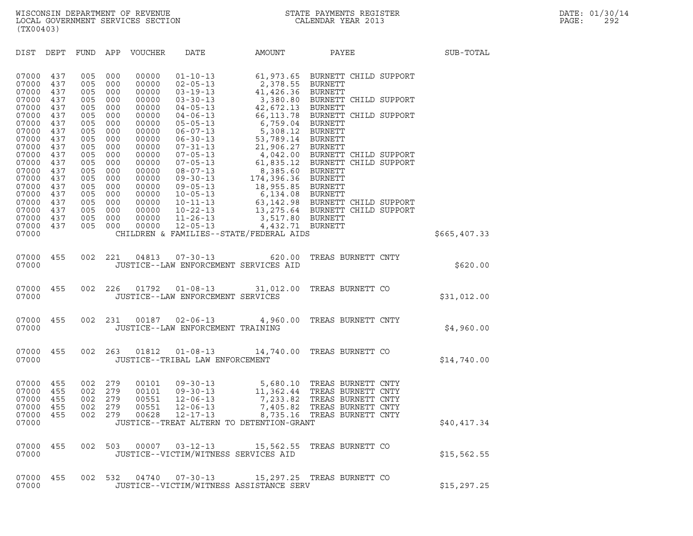DIST DEPT FUND APP VOUCHER DATE AMOUNT PAYEE SUB-TOTAL

| DEPT                                                                                                                                                                                                                 | FUND                                   | APP                                    | VOUCHER                                            | DATE                                                                                   | AMOUNT                                                                                                                 | PAYEE                                                                                                                                                                                                                                                                                            | SUB-TOTAL                                                                                                                                                                                                                                                                                                                                                                                                                                                                                                                                                                                                                                                                                                                                                                                                                                                              |
|----------------------------------------------------------------------------------------------------------------------------------------------------------------------------------------------------------------------|----------------------------------------|----------------------------------------|----------------------------------------------------|----------------------------------------------------------------------------------------|------------------------------------------------------------------------------------------------------------------------|--------------------------------------------------------------------------------------------------------------------------------------------------------------------------------------------------------------------------------------------------------------------------------------------------|------------------------------------------------------------------------------------------------------------------------------------------------------------------------------------------------------------------------------------------------------------------------------------------------------------------------------------------------------------------------------------------------------------------------------------------------------------------------------------------------------------------------------------------------------------------------------------------------------------------------------------------------------------------------------------------------------------------------------------------------------------------------------------------------------------------------------------------------------------------------|
| 437<br>437<br>437                                                                                                                                                                                                    | 005<br>005<br>005                      | 000<br>000<br>000                      | 00000<br>00000<br>00000                            | $01 - 10 - 13$<br>$02 - 05 - 13$<br>$03 - 19 - 13$                                     |                                                                                                                        |                                                                                                                                                                                                                                                                                                  |                                                                                                                                                                                                                                                                                                                                                                                                                                                                                                                                                                                                                                                                                                                                                                                                                                                                        |
| 437<br>437<br>437<br>437<br>437                                                                                                                                                                                      | 005<br>005<br>005<br>005<br>005        | 000<br>000<br>000<br>000<br>000        | 00000<br>00000<br>00000<br>00000<br>00000          | $04 - 05 - 13$<br>$04 - 06 - 13$<br>$05 - 05 - 13$<br>$06 - 07 - 13$<br>$06 - 30 - 13$ | 5,308.12                                                                                                               |                                                                                                                                                                                                                                                                                                  |                                                                                                                                                                                                                                                                                                                                                                                                                                                                                                                                                                                                                                                                                                                                                                                                                                                                        |
| 437<br>437<br>437<br>437<br>437<br>437                                                                                                                                                                               | 005<br>005<br>005<br>005<br>005<br>005 | 000<br>000<br>000<br>000<br>000<br>000 | 00000<br>00000<br>00000<br>00000<br>00000<br>00000 | $07 - 31 - 13$<br>$07 - 05 - 13$<br>$07 - 05 - 13$<br>$08 - 07 - 13$<br>$09 - 05 - 13$ |                                                                                                                        | BURNETT                                                                                                                                                                                                                                                                                          |                                                                                                                                                                                                                                                                                                                                                                                                                                                                                                                                                                                                                                                                                                                                                                                                                                                                        |
| 437<br>437<br>437<br>437                                                                                                                                                                                             | 005<br>005<br>005<br>005               | 000<br>000<br>000<br>000               | 00000<br>00000<br>00000<br>00000                   | $10 - 11 - 13$<br>$10 - 22 - 13$<br>$11 - 26 - 13$<br>$12 - 05 - 13$                   |                                                                                                                        |                                                                                                                                                                                                                                                                                                  |                                                                                                                                                                                                                                                                                                                                                                                                                                                                                                                                                                                                                                                                                                                                                                                                                                                                        |
|                                                                                                                                                                                                                      |                                        |                                        |                                                    |                                                                                        |                                                                                                                        |                                                                                                                                                                                                                                                                                                  | \$665, 407.33                                                                                                                                                                                                                                                                                                                                                                                                                                                                                                                                                                                                                                                                                                                                                                                                                                                          |
| 455                                                                                                                                                                                                                  | 002                                    | 221                                    |                                                    |                                                                                        | 620.00                                                                                                                 | TREAS BURNETT CNTY                                                                                                                                                                                                                                                                               | \$620.00                                                                                                                                                                                                                                                                                                                                                                                                                                                                                                                                                                                                                                                                                                                                                                                                                                                               |
| 455                                                                                                                                                                                                                  | 002                                    | 226                                    | 01792                                              |                                                                                        | 31,012.00                                                                                                              | TREAS BURNETT CO                                                                                                                                                                                                                                                                                 | \$31,012.00                                                                                                                                                                                                                                                                                                                                                                                                                                                                                                                                                                                                                                                                                                                                                                                                                                                            |
| 455                                                                                                                                                                                                                  | 002                                    | 231                                    |                                                    |                                                                                        |                                                                                                                        | TREAS BURNETT CNTY                                                                                                                                                                                                                                                                               | \$4,960.00                                                                                                                                                                                                                                                                                                                                                                                                                                                                                                                                                                                                                                                                                                                                                                                                                                                             |
| 455                                                                                                                                                                                                                  | 002                                    | 263                                    |                                                    |                                                                                        |                                                                                                                        |                                                                                                                                                                                                                                                                                                  | \$14,740.00                                                                                                                                                                                                                                                                                                                                                                                                                                                                                                                                                                                                                                                                                                                                                                                                                                                            |
| 455<br>455<br>455<br>455                                                                                                                                                                                             | 002<br>002<br>002<br>002               | 279<br>279<br>279<br>279               | 00101<br>00551<br>00551                            | 12-06-13<br>12-06-13                                                                   |                                                                                                                        | TREAS BURNETT CNTY                                                                                                                                                                                                                                                                               |                                                                                                                                                                                                                                                                                                                                                                                                                                                                                                                                                                                                                                                                                                                                                                                                                                                                        |
|                                                                                                                                                                                                                      |                                        |                                        |                                                    |                                                                                        |                                                                                                                        |                                                                                                                                                                                                                                                                                                  | \$40,417.34                                                                                                                                                                                                                                                                                                                                                                                                                                                                                                                                                                                                                                                                                                                                                                                                                                                            |
| 455                                                                                                                                                                                                                  | 002                                    | 503                                    | 00007                                              |                                                                                        | 15,562.55                                                                                                              | TREAS BURNETT CO                                                                                                                                                                                                                                                                                 | \$15,562.55                                                                                                                                                                                                                                                                                                                                                                                                                                                                                                                                                                                                                                                                                                                                                                                                                                                            |
| 455                                                                                                                                                                                                                  | 002                                    | 532                                    | 04740                                              |                                                                                        |                                                                                                                        |                                                                                                                                                                                                                                                                                                  | \$15, 297.25                                                                                                                                                                                                                                                                                                                                                                                                                                                                                                                                                                                                                                                                                                                                                                                                                                                           |
| 07000<br>07000<br>07000<br>07000<br>07000<br>07000<br>07000<br>07000<br>07000<br>07000<br>07000<br>07000<br>07000<br>07000<br>07000<br>07000<br>07000<br>07000<br>07000<br>07000<br>07000<br>07000<br>07000<br>07000 | 437<br>437<br>455                      | 005<br>005<br>002                      | 000<br>000<br>279                                  | 00000<br>00000<br>00628                                                                | $03 - 30 - 13$<br>$10 - 05 - 13$<br>$04813$ $07-30-13$<br>01812<br>00101  09-30-13<br>$09 - 30 - 13$<br>$12 - 17 - 13$ | $08 - 07 - 13$<br>09-30-13<br>JUSTICE--LAW ENFORCEMENT SERVICES AID<br>$01 - 08 - 13$<br>JUSTICE--LAW ENFORCEMENT SERVICES<br>00187 02-06-13<br>JUSTICE--LAW ENFORCEMENT TRAINING<br>JUSTICE--TRIBAL LAW ENFORCEMENT<br>$03 - 12 - 13$<br>JUSTICE--VICTIM/WITNESS SERVICES AID<br>$07 - 30 - 13$ | 61,973.65 BURNETT CHILD SUPPORT<br>2,378.55 BURNETT<br>41,426.36 BURNETT<br>3,380.80 BURNETT CHILD SUPPORT<br>42,672.13 BURNETT<br>66,113.78 BURNETT CHILD SUPPORT<br>6,759.04 BURNETT<br>BURNETT<br>53,789.14 BURNETT<br>21,906.27<br>4,042.00 BURNETT CHILD SUPPORT<br>61,835.12 BURNETT CHILD SUPPORT<br>8,385.60 BURNETT<br>174,396.36 BURNETT<br>18,955.85 BURNETT<br>6,134.08 BURNETT<br>63,142.98 BURNETT CHILD SUPPORT<br>13, 275.64 BURNETT CHILD SUPPORT<br>3,517.80 BURNETT<br>4,432.71 BURNETT<br>CHILDREN & FAMILIES--STATE/FEDERAL AIDS<br>4,960.00<br>01-08-13 14,740.00 TREAS BURNETT CO<br>5,680.10 TREAS BURNETT CNTY<br>11,362.44 TREAS BURNETT CNTY<br>7,233.82 TREAS BURNETT CNTY<br>7,405.82<br>8,735.16 TREAS BURNETT CNTY<br>JUSTICE--TREAT ALTERN TO DETENTION-GRANT<br>15,297.25 TREAS BURNETT CO<br>JUSTICE--VICTIM/WITNESS ASSISTANCE SERV |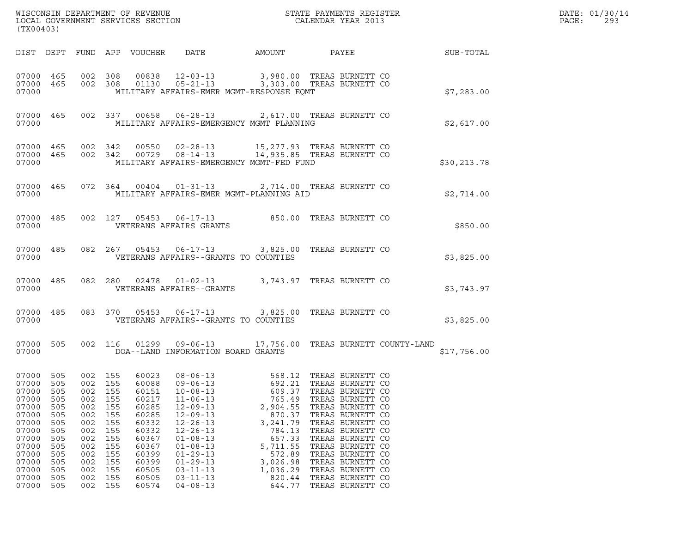| (TX00403)                                                                                                                  |                                                                                                |                                                                                                    |                                                                                         |                                                                                                                            |                                                                                                                                                                                                                                                                                                                      |                                                                                                                                                    |                                                                                                                                                                                                                                                                                      |  |              |  |  |
|----------------------------------------------------------------------------------------------------------------------------|------------------------------------------------------------------------------------------------|----------------------------------------------------------------------------------------------------|-----------------------------------------------------------------------------------------|----------------------------------------------------------------------------------------------------------------------------|----------------------------------------------------------------------------------------------------------------------------------------------------------------------------------------------------------------------------------------------------------------------------------------------------------------------|----------------------------------------------------------------------------------------------------------------------------------------------------|--------------------------------------------------------------------------------------------------------------------------------------------------------------------------------------------------------------------------------------------------------------------------------------|--|--------------|--|--|
|                                                                                                                            |                                                                                                |                                                                                                    |                                                                                         |                                                                                                                            |                                                                                                                                                                                                                                                                                                                      |                                                                                                                                                    |                                                                                                                                                                                                                                                                                      |  |              |  |  |
| 07000                                                                                                                      |                                                                                                |                                                                                                    |                                                                                         |                                                                                                                            | 07000 465 002 308 00838 12-03-13 3,980.00 TREAS BURNETT CO 37000 465 002 308 01130 05-21-13 3,303.00 TREAS BURNETT CO<br>MILITARY AFFAIRS-EMER MGMT-RESPONSE EQMT                                                                                                                                                    |                                                                                                                                                    |                                                                                                                                                                                                                                                                                      |  | \$7,283.00   |  |  |
| 07000                                                                                                                      |                                                                                                |                                                                                                    |                                                                                         |                                                                                                                            | 07000 465 002 337 00658 06-28-13 2,617.00 TREAS BURNETT CO<br>MILITARY AFFAIRS-EMERGENCY MGMT PLANNING                                                                                                                                                                                                               |                                                                                                                                                    |                                                                                                                                                                                                                                                                                      |  | \$2,617.00   |  |  |
| 07000                                                                                                                      |                                                                                                |                                                                                                    |                                                                                         |                                                                                                                            | 07000 465 002 342 00550 02-28-13 15,277.93 TREAS BURNETT CO 07000 465 002 342 00729 08-14-13 14,935.85 TREAS BURNETT CO<br>MILITARY AFFAIRS-EMERGENCY MGMT-FED FUND                                                                                                                                                  |                                                                                                                                                    |                                                                                                                                                                                                                                                                                      |  | \$30, 213.78 |  |  |
| 07000                                                                                                                      |                                                                                                |                                                                                                    |                                                                                         |                                                                                                                            | 07000 465 072 364 00404 01-31-13 2,714.00 TREAS BURNETT CO<br>MILITARY AFFAIRS-EMER MGMT-PLANNING AID                                                                                                                                                                                                                |                                                                                                                                                    |                                                                                                                                                                                                                                                                                      |  | \$2,714.00   |  |  |
| 07000                                                                                                                      |                                                                                                |                                                                                                    |                                                                                         |                                                                                                                            | 07000 485 002 127 05453 06-17-13 850.00 TREAS BURNETT CO<br>VETERANS AFFAIRS GRANTS                                                                                                                                                                                                                                  |                                                                                                                                                    |                                                                                                                                                                                                                                                                                      |  | \$850.00     |  |  |
| 07000                                                                                                                      |                                                                                                |                                                                                                    |                                                                                         |                                                                                                                            | 07000 485 082 267 05453 06-17-13 3,825.00 TREAS BURNETT CO<br>VETERANS AFFAIRS--GRANTS TO COUNTIES                                                                                                                                                                                                                   |                                                                                                                                                    |                                                                                                                                                                                                                                                                                      |  | \$3,825.00   |  |  |
| 07000                                                                                                                      |                                                                                                |                                                                                                    |                                                                                         |                                                                                                                            | 07000 485 082 280 02478 01-02-13 3,743.97 TREAS BURNETT CO<br>VETERANS AFFAIRS--GRANTS                                                                                                                                                                                                                               |                                                                                                                                                    |                                                                                                                                                                                                                                                                                      |  | \$3,743.97   |  |  |
| 07000                                                                                                                      |                                                                                                |                                                                                                    |                                                                                         |                                                                                                                            | 07000 485 083 370 05453 06-17-13 3,825.00 TREAS BURNETT CO<br>VETERANS AFFAIRS--GRANTS TO COUNTIES                                                                                                                                                                                                                   |                                                                                                                                                    |                                                                                                                                                                                                                                                                                      |  | \$3,825.00   |  |  |
| 07000 505<br>07000                                                                                                         |                                                                                                |                                                                                                    |                                                                                         |                                                                                                                            | 002 116 01299 09-06-13 17,756.00 TREAS BURNETT COUNTY-LAND<br>DOA--LAND INFORMATION BOARD GRANTS                                                                                                                                                                                                                     |                                                                                                                                                    |                                                                                                                                                                                                                                                                                      |  | \$17,756.00  |  |  |
| 07000<br>07000<br>07000<br>07000<br>07000<br>07000<br>07000<br>07000<br>07000<br>07000<br>07000<br>07000<br>07000<br>07000 | 505<br>505<br>505<br>505<br>505<br>505<br>505<br>505<br>505<br>505<br>505<br>505<br>505<br>505 | 002<br>002<br>002<br>002<br>002<br>002<br>002<br>002<br>002<br>002<br>002<br>002<br>002<br>002 155 | 155<br>155<br>155<br>155<br>155<br>155<br>155<br>155<br>155<br>155<br>155<br>155<br>155 | 60088<br>60151<br>60217<br>60285<br>60285<br>60332<br>60332<br>60367<br>60367<br>60399<br>60399<br>60505<br>60505<br>60574 | 07000 505 002 155 60023 08-06-13 568.12 TREAS BURNETT CO<br>$09 - 06 - 13$<br>$10 - 08 - 13$<br>$11 - 06 - 13$<br>$12 - 09 - 13$<br>$12 - 09 - 13$<br>$12 - 26 - 13$<br>$12 - 26 - 13$<br>$01 - 08 - 13$<br>$01 - 08 - 13$<br>$01 - 29 - 13$<br>$01 - 29 - 13$<br>$03 - 11 - 13$<br>$03 - 11 - 13$<br>$04 - 08 - 13$ | 692.21<br>609.37<br>765.49<br>2,904.55<br>870.37<br>3,241.79<br>784.13<br>657.33<br>5,711.55<br>572.89<br>3,026.98<br>1,036.29<br>820.44<br>644.77 | TREAS BURNETT CO<br>TREAS BURNETT CO<br>TREAS BURNETT CO<br>TREAS BURNETT CO<br>TREAS BURNETT CO<br>TREAS BURNETT CO<br>TREAS BURNETT CO<br>TREAS BURNETT CO<br>TREAS BURNETT CO<br>TREAS BURNETT CO<br>TREAS BURNETT CO<br>TREAS BURNETT CO<br>TREAS BURNETT CO<br>TREAS BURNETT CO |  |              |  |  |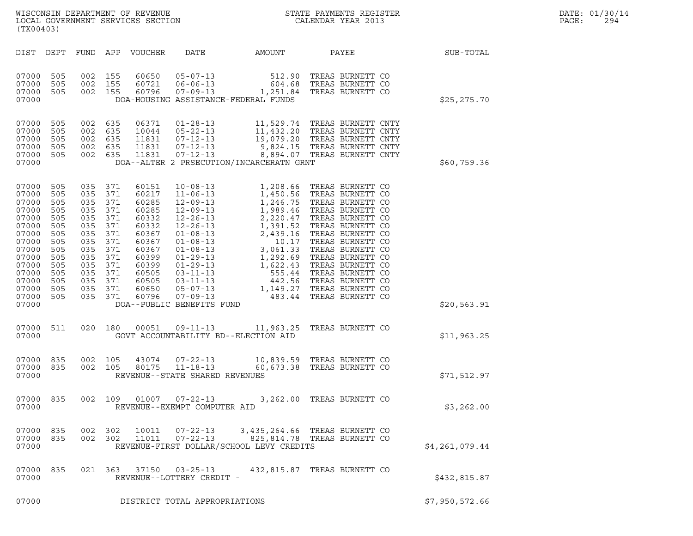| $\tt WISCONSIM DEPARTMENT OF REVENUE$ $\tt WISCONSIMENT$ SERVICES SECTION $\tt CALENDAR$ YEAR 2013<br>(TX00403)                                                                                                                                                                                                                                                                                                                                                                                     |                | DATE: 01/30/14<br>PAGE:<br>294 |
|-----------------------------------------------------------------------------------------------------------------------------------------------------------------------------------------------------------------------------------------------------------------------------------------------------------------------------------------------------------------------------------------------------------------------------------------------------------------------------------------------------|----------------|--------------------------------|
| FUND APP VOUCHER<br>DATE<br>DIST DEPT<br>AMOUNT<br>PAYEE                                                                                                                                                                                                                                                                                                                                                                                                                                            | SUB-TOTAL      |                                |
| 05-07-13 512.90<br>06-06-13 604.68<br>07-09-13 1,251.84<br>07000<br>505<br>002<br>155<br>60650<br>TREAS BURNETT CO<br>505<br>60721<br>TREAS BURNETT CO<br>07000<br>002<br>155<br>07000 505<br>002 155<br>60796<br>TREAS BURNETT CO<br>DOA-HOUSING ASSISTANCE-FEDERAL FUNDS<br>07000                                                                                                                                                                                                                 | \$25,275.70    |                                |
| 11,529.74 TREAS BURNETT CNTY<br>11,432.20 TREAS BURNETT CNTY<br>19,079.20 TREAS BURNETT CNTY<br>9,824.15 TREAS BURNETT CNTY<br>8,894.07 TREAS BURNETT CNTY<br>07000<br>505<br>002 635<br>06371<br>$01 - 28 - 13$<br>505<br>$05 - 22 - 13$<br>07000<br>002<br>635<br>10044<br>07000<br>505<br>002 635<br>11831<br>$07 - 12 - 13$<br>505<br>$07 - 12 - 13$<br>07000<br>002<br>635<br>11831<br>505<br>$07 - 12 - 13$<br>07000<br>002 635<br>11831<br>DOA--ALTER 2 PRSECUTION/INCARCERATN GRNT<br>07000 | \$60,759.36    |                                |
| 07000<br>505<br>035 371<br>505<br>07000<br>035<br>371<br>07000<br>505<br>035<br>371<br>505<br>07000<br>035<br>371<br>07000<br>505<br>035<br>371<br>505<br>07000<br>035<br>371<br>07000<br>505<br>035<br>371<br>07000<br>505<br>035<br>371<br>07000<br>505<br>035<br>371<br>505<br>07000<br>035<br>371<br>07000<br>505<br>035<br>371<br>505<br>07000<br>035<br>371<br>07000<br>505<br>035<br>371<br>505<br>07000<br>035<br>371<br>505<br>07000<br>035<br>371<br>07000                                | \$20,563.91    |                                |
| 020 180 00051 09-11-13 11,963.25 TREAS BURNETT CO<br>07000 511<br>07000                                                                                                                                                                                                                                                                                                                                                                                                                             | \$11,963.25    |                                |
| 10,839.59 TREAS BURNETT CO<br>07000 835<br>002 105<br>43074<br>$07 - 22 - 13$<br>835<br>002 105<br>$11 - 18 - 13$<br>60,673.38 TREAS BURNETT CO<br>07000<br>80175<br>REVENUE--STATE SHARED REVENUES<br>07000                                                                                                                                                                                                                                                                                        | \$71,512.97    |                                |
| 07000 835<br>002  109  01007  07-22-13  3,262.00  TREAS BURNETT CO<br>07000<br>REVENUE--EXEMPT COMPUTER AID                                                                                                                                                                                                                                                                                                                                                                                         | \$3,262.00     |                                |
| 07000 835<br>002 302<br>10011<br>$07 - 22 - 13$<br>3,435,264.66 TREAS BURNETT CO<br>07000 835<br>$07 - 22 - 13$<br>002 302<br>11011<br>825,814.78 TREAS BURNETT CO<br>REVENUE-FIRST DOLLAR/SCHOOL LEVY CREDITS<br>07000                                                                                                                                                                                                                                                                             | \$4,261,079.44 |                                |
| 07000 835<br>021 363 37150 03-25-13<br>432,815.87 TREAS BURNETT CO<br>REVENUE--LOTTERY CREDIT -<br>07000                                                                                                                                                                                                                                                                                                                                                                                            | \$432,815.87   |                                |
| 07000<br>DISTRICT TOTAL APPROPRIATIONS                                                                                                                                                                                                                                                                                                                                                                                                                                                              | \$7,950,572.66 |                                |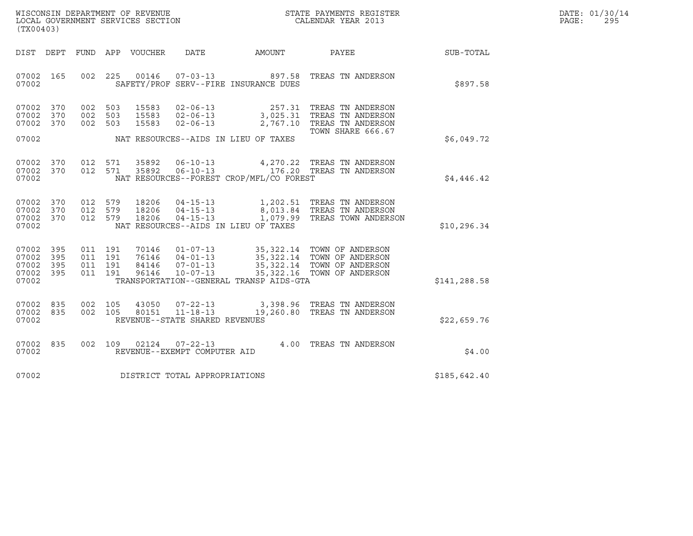| WISCONSIN DEPARTMENT OF REVENUE<br>LOCAL GOVERNMENT SERVICES SECTION | STATE PAYMENTS REGISTER<br>CALENDAR YEAR 2013 | DATE: 01/30/14<br>PAGE:<br>295 |
|----------------------------------------------------------------------|-----------------------------------------------|--------------------------------|

| WISCONSIN DEPARTMENT OF REVENUE<br>LOCAL GOVERNMENT SERVICES SECTION FOR THE STATE PAYMENTS REGISTER<br>(TWOO400)<br>(TX00403) |  |                    |                               |               |                                |                                          |                                                                                                                                                                                                                                                    |              | DATE: 01/30/14<br>PAGE:<br>295 |
|--------------------------------------------------------------------------------------------------------------------------------|--|--------------------|-------------------------------|---------------|--------------------------------|------------------------------------------|----------------------------------------------------------------------------------------------------------------------------------------------------------------------------------------------------------------------------------------------------|--------------|--------------------------------|
| DIST DEPT                                                                                                                      |  |                    |                               |               |                                |                                          | FUND APP VOUCHER DATE AMOUNT PAYEE SUB-TOTAL                                                                                                                                                                                                       |              |                                |
| 07002 165<br>07002                                                                                                             |  |                    |                               |               |                                | SAFETY/PROF SERV--FIRE INSURANCE DUES    | 002 225 00146 07-03-13 897.58 TREAS TN ANDERSON                                                                                                                                                                                                    | \$897.58     |                                |
| 07002 370<br>07002 370<br>07002 370                                                                                            |  |                    | 002 503<br>002 503<br>002 503 |               |                                |                                          | 15583 02-06-13 257.31 TREAS TN ANDERSON<br>15583 02-06-13 3,025.31 TREAS TN ANDERSON<br>15583 02-06-13 2,767.10 TREAS TN ANDERSON                                                                                                                  |              |                                |
| 07002                                                                                                                          |  |                    |                               |               |                                | NAT RESOURCES--AIDS IN LIEU OF TAXES     | TOWN SHARE 666.67                                                                                                                                                                                                                                  | \$6,049.72   |                                |
| 07002 370<br>07002 370<br>07002                                                                                                |  |                    |                               |               |                                | NAT RESOURCES--FOREST CROP/MFL/CO FOREST | 012 571 35892 06-10-13 4,270.22 TREAS TN ANDERSON<br>012 571 35892 06-10-13 176.20 TREAS TN ANDERSON                                                                                                                                               | \$4,446.42   |                                |
| 07002 370<br>07002 370<br>07002 370<br>07002                                                                                   |  | 012 579<br>012 579 |                               |               |                                | NAT RESOURCES--AIDS IN LIEU OF TAXES     | $\begin{array}{cccc} 012 & 579 & 18206 & 04-15-13 & 1,202.51 & \text{TREAS TN ANDERSON} \\ 012 & 579 & 18206 & 04-15-13 & 8,013.84 & \text{TREAS TN ANDERSON} \\ 012 & 579 & 18206 & 04-15-13 & 1,079.99 & \text{TREAS TOWN ANDERSON} \end{array}$ | \$10, 296.34 |                                |
| 07002 395<br>07002 395<br>07002 395<br>07002 395<br>07002                                                                      |  |                    | 011 191<br>011 191<br>011 191 | 011 191 96146 |                                | TRANSPORTATION--GENERAL TRANSP AIDS-GTA  |                                                                                                                                                                                                                                                    | \$141,288.58 |                                |
| 07002 835<br>07002 835<br>07002                                                                                                |  |                    |                               |               | REVENUE--STATE SHARED REVENUES |                                          | $\begin{array}{cccc} 002 & 105 & 43050 & 07\hbox{-}22\hbox{-}13 & 3,398.96 & \text{TREAS TN ANDERSON} \\ 002 & 105 & 80151 & 11\hbox{-}18\hbox{-}13 & 19,260.80 & \text{TREAS TN ANDERSON} \end{array}$                                            | \$22,659.76  |                                |
| 07002 835<br>07002                                                                                                             |  |                    |                               |               | REVENUE--EXEMPT COMPUTER AID   |                                          | 002 109 02124 07-22-13 4.00 TREAS TN ANDERSON                                                                                                                                                                                                      | \$4.00       |                                |
| 07002                                                                                                                          |  |                    |                               |               | DISTRICT TOTAL APPROPRIATIONS  |                                          |                                                                                                                                                                                                                                                    | \$185,642.40 |                                |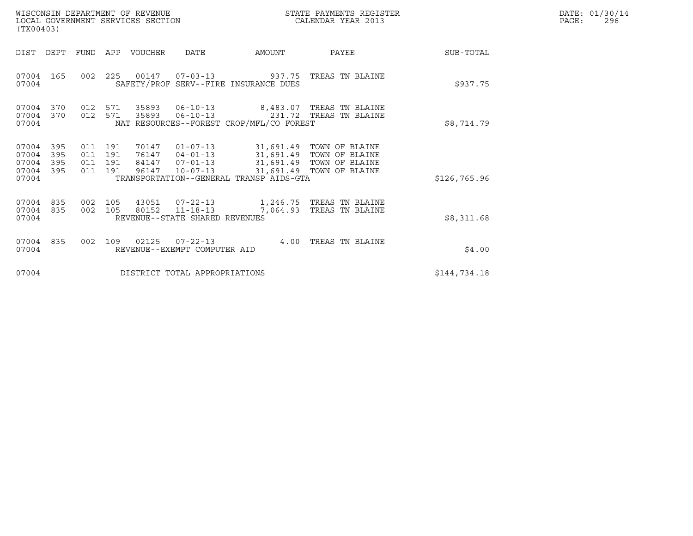| DATE: | 01/30/14 |
|-------|----------|
| PAGE: | 296      |

| WISCONSIN DEPARTMENT OF REVENUE<br>LOCAL GOVERNMENT SERVICES SECTION<br>(TX00403)                                                                                                                                     |                                                                                                                                         | STATE PAYMENTS REGISTER<br>CALENDAR YEAR 2013 |              | DATE: 01/30/14<br>PAGE:<br>296 |
|-----------------------------------------------------------------------------------------------------------------------------------------------------------------------------------------------------------------------|-----------------------------------------------------------------------------------------------------------------------------------------|-----------------------------------------------|--------------|--------------------------------|
| DIST<br>DEPT<br>FUND<br>APP VOUCHER<br>DATE                                                                                                                                                                           | AMOUNT                                                                                                                                  | PAYEE                                         | SUB-TOTAL    |                                |
| 225<br>00147<br>07004<br>165<br>002<br>SAFETY/PROF SERV--FIRE INSURANCE DUES<br>07004                                                                                                                                 | $07 - 03 - 13$ 937.75                                                                                                                   | TREAS TN BLAINE                               | \$937.75     |                                |
| 07004<br>370<br>571<br>35893<br>012<br>571<br>07004<br>370<br>012<br>35893<br>NAT RESOURCES--FOREST CROP/MFL/CO FOREST<br>07004                                                                                       | 06-10-13 8,483.07 TREAS TN BLAINE<br>06-10-13 231.72 TREAS TN BLAINE                                                                    |                                               | \$8,714.79   |                                |
| 07004<br>395<br>011 191<br>70147<br>07004<br>395<br>76147<br>011 191<br>395<br>011 191<br>84147<br>07004<br>395<br>07004<br>011<br>191<br>96147<br>$10 - 07 - 13$<br>TRANSPORTATION--GENERAL TRANSP AIDS-GTA<br>07004 | 01-07-13 31,691.49 TOWN OF BLAINE<br>04-01-13 31,691.49 TOWN OF BLAINE<br>07-01-13 31,691.49 TOWN OF BLAINE<br>31,691.49 TOWN OF BLAINE |                                               | \$126,765.96 |                                |
| 07004<br>835<br>105<br>43051<br>$07 - 22 - 13$<br>002<br>07004<br>835<br>002 105<br>80152<br>$11 - 18 - 13$<br>REVENUE--STATE SHARED REVENUES<br>07004                                                                | 7,064.93                                                                                                                                | 1,246.75 TREAS TN BLAINE<br>TREAS TN BLAINE   | \$8,311.68   |                                |
| 07004<br>835<br>002<br>109<br>02125<br>$07 - 22 - 13$<br>07004<br>REVENUE--EXEMPT COMPUTER AID                                                                                                                        |                                                                                                                                         | 4.00 TREAS TN BLAINE                          | \$4.00       |                                |
| 07004<br>DISTRICT TOTAL APPROPRIATIONS                                                                                                                                                                                |                                                                                                                                         |                                               | \$144,734.18 |                                |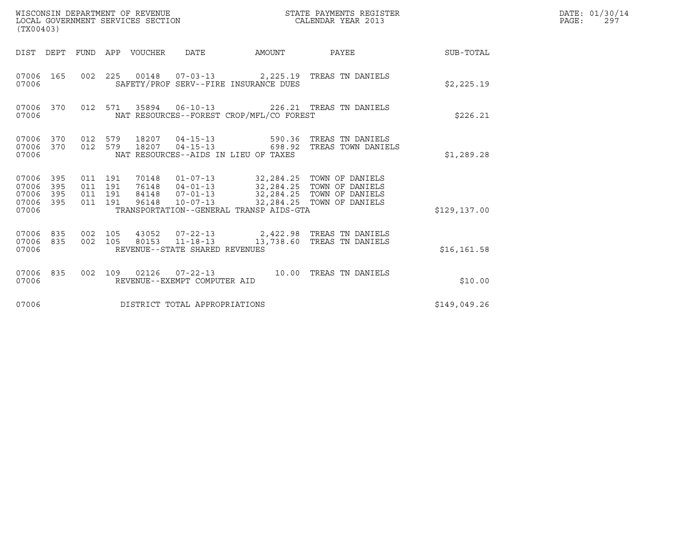| WISCONSIN DEPARTMENT OF REVENUE<br>LOCAL GOVERNMENT SERVICES SECTION<br>(TX00403) |                   |                                          |  |                                  |                                  | STATE PAYMENTS REGISTER<br>CALENDAR YEAR 2013                                                                                                    |                                                                                             |              | DATE: 01/30/14<br>PAGE:<br>297 |
|-----------------------------------------------------------------------------------|-------------------|------------------------------------------|--|----------------------------------|----------------------------------|--------------------------------------------------------------------------------------------------------------------------------------------------|---------------------------------------------------------------------------------------------|--------------|--------------------------------|
|                                                                                   |                   |                                          |  | DIST DEPT FUND APP VOUCHER       | DATE                             | AMOUNT                                                                                                                                           | PAYEE                                                                                       | SUB-TOTAL    |                                |
| 07006 165<br>07006                                                                |                   |                                          |  |                                  |                                  | SAFETY/PROF SERV--FIRE INSURANCE DUES                                                                                                            | 002  225  00148  07-03-13  2,225.19  TREAS TN DANIELS                                       | \$2,225.19   |                                |
| 07006 370<br>07006                                                                |                   |                                          |  |                                  |                                  | NAT RESOURCES--FOREST CROP/MFL/CO FOREST                                                                                                         | 012 571 35894 06-10-13 226.21 TREAS TN DANIELS                                              | \$226.21     |                                |
| 07006 370<br>07006 370<br>07006                                                   |                   | 012 579<br>012 579                       |  | 18207                            |                                  | 18207  04-15-13  590.36<br>NAT RESOURCES--AIDS IN LIEU OF TAXES                                                                                  | TREAS TN DANIELS<br>04-15-13 698.92 TREAS TOWN DANIELS                                      | \$1,289.28   |                                |
| 07006 395<br>07006<br>07006<br>07006<br>07006                                     | 395<br>395<br>395 | 011 191<br>011 191<br>011 191<br>011 191 |  | 70148<br>76148<br>84148<br>96148 | $07 - 01 - 13$<br>$10 - 07 - 13$ | 01-07-13 32,284.25 TOWN OF DANIELS<br>04-01-13 32,284.25 TOWN OF DANIELS<br>32,284.25 TOWN OF DANIELS<br>TRANSPORTATION--GENERAL TRANSP AIDS-GTA | 32,284.25 TOWN OF DANIELS                                                                   | \$129,137.00 |                                |
| 07006<br>07006 835<br>07006                                                       | 835               | 002 105<br>002 105                       |  |                                  | REVENUE--STATE SHARED REVENUES   |                                                                                                                                                  | 43052  07-22-13  2,422.98  TREAS TN DANIELS<br>80153  11-18-13  13,738.60  TREAS TN DANIELS | \$16, 161.58 |                                |
| 07006 835<br>07006                                                                |                   | 002 109                                  |  |                                  | REVENUE--EXEMPT COMPUTER AID     |                                                                                                                                                  |                                                                                             | \$10.00      |                                |
| 07006                                                                             |                   |                                          |  |                                  | DISTRICT TOTAL APPROPRIATIONS    |                                                                                                                                                  |                                                                                             | \$149,049.26 |                                |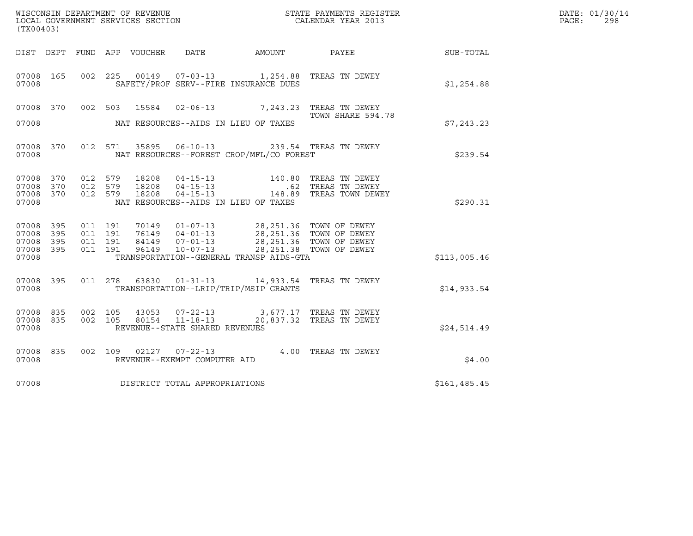| (TX00403)                                     |                     |                                          |         |                         |                                                                    |                                                                                                                                                                                                  | $\tt WISCONSIM DEPARTMENT OF REVENUE$ $\tt WISCONMIN SERS REGISTER$ $\tt LOCAL BODAR YEAR$ $2013$ |              | DATE: 01/30/14<br>PAGE:<br>298 |
|-----------------------------------------------|---------------------|------------------------------------------|---------|-------------------------|--------------------------------------------------------------------|--------------------------------------------------------------------------------------------------------------------------------------------------------------------------------------------------|---------------------------------------------------------------------------------------------------|--------------|--------------------------------|
| DIST DEPT                                     |                     |                                          |         |                         |                                                                    |                                                                                                                                                                                                  |                                                                                                   | SUB-TOTAL    |                                |
| 07008 165<br>07008                            |                     |                                          |         |                         |                                                                    | 002 225 00149 07-03-13 1,254.88 TREAS TN DEWEY<br>SAFETY/PROF SERV--FIRE INSURANCE DUES                                                                                                          |                                                                                                   | \$1,254.88   |                                |
| 07008 370                                     |                     |                                          |         |                         |                                                                    | 002 503 15584 02-06-13 7,243.23 TREAS TN DEWEY                                                                                                                                                   | TOWN SHARE 594.78                                                                                 |              |                                |
| 07008                                         |                     |                                          |         |                         |                                                                    | NAT RESOURCES--AIDS IN LIEU OF TAXES                                                                                                                                                             |                                                                                                   | \$7,243.23   |                                |
| 07008 370<br>07008                            |                     |                                          | 012 571 |                         |                                                                    | 35895  06-10-13  239.54  TREAS TN DEWEY<br>NAT RESOURCES--FOREST CROP/MFL/CO FOREST                                                                                                              |                                                                                                   | \$239.54     |                                |
| 07008 370<br>07008<br>07008<br>07008          | 370<br>370          | 012 579<br>012 579<br>012 579            |         | 18208<br>18208<br>18208 |                                                                    | NAT RESOURCES--AIDS IN LIEU OF TAXES                                                                                                                                                             | 04-15-13 140.80 TREAS TN DEWEY<br>04-15-13 62 TREAS TN DEWEY<br>04-15-13 148.89 TREAS TOWN DEWEY  | \$290.31     |                                |
| 07008 395<br>07008<br>07008<br>07008<br>07008 | 395<br>- 395<br>395 | 011 191<br>011 191<br>011 191<br>011 191 |         |                         |                                                                    | 70149  01-07-13  28,251.36  TOWN OF DEWEY<br>76149 04-01-13<br>84149 07-01-13<br>96149 10-07-13<br>28,251.36 TOWN OF DEWEY<br>28,251.36 TOWN OF DEWEY<br>TRANSPORTATION--GENERAL TRANSP AIDS-GTA |                                                                                                   | \$113,005.46 |                                |
| 07008 395<br>07008                            |                     |                                          |         |                         |                                                                    | 011  278  63830  01-31-13  14,933.54  TREAS TN DEWEY<br>TRANSPORTATION--LRIP/TRIP/MSIP GRANTS                                                                                                    |                                                                                                   | \$14,933.54  |                                |
| 07008 835<br>07008<br>07008                   | 835                 | 002 105<br>002 105                       |         | 80154                   | 43053 07-22-13<br>$11 - 18 - 13$<br>REVENUE--STATE SHARED REVENUES |                                                                                                                                                                                                  | 3,677.17 TREAS TN DEWEY<br>20,837.32 TREAS TN DEWEY                                               | \$24,514.49  |                                |
| 07008 835<br>07008                            |                     |                                          |         |                         | REVENUE--EXEMPT COMPUTER AID                                       | 002 109 02127 07-22-13 4.00 TREAS TN DEWEY                                                                                                                                                       |                                                                                                   | \$4.00       |                                |
| 07008                                         |                     |                                          |         |                         | DISTRICT TOTAL APPROPRIATIONS                                      |                                                                                                                                                                                                  |                                                                                                   | \$161,485.45 |                                |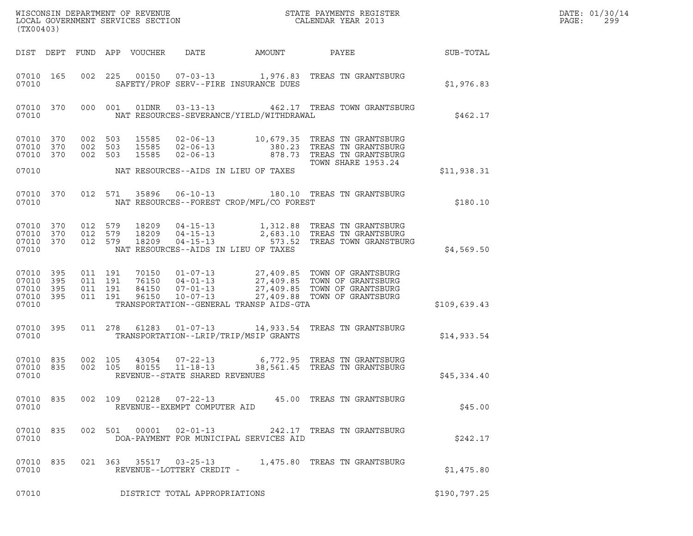| (TX00403) |                                                  |                                          |       |                                |                                            | ${\tt WISCONSIM\ DEPARTMENT\ OF\ REVENUE}\qquad \qquad {\tt STATE\ PAYMENTS\ REGISTER} \\ {\tt LOCAL\ GOVERNMENT\ SERVICES\ SECTION}\qquad \qquad {\tt CALENDAR\ YEAR\ 2013}$                                                                                                                    |                 | DATE: 01/30/14<br>PAGE:<br>299 |  |
|-----------|--------------------------------------------------|------------------------------------------|-------|--------------------------------|--------------------------------------------|--------------------------------------------------------------------------------------------------------------------------------------------------------------------------------------------------------------------------------------------------------------------------------------------------|-----------------|--------------------------------|--|
|           |                                                  |                                          |       |                                | DIST DEPT FUND APP VOUCHER DATE AMOUNT     |                                                                                                                                                                                                                                                                                                  | PAYEE SUB-TOTAL |                                |  |
| 07010     | 07010 165                                        |                                          |       |                                | SAFETY/PROF SERV--FIRE INSURANCE DUES      | 002 225 00150 07-03-13 1,976.83 TREAS TN GRANTSBURG                                                                                                                                                                                                                                              |                 | \$1,976.83                     |  |
| 07010     | 07010 370                                        | 000 001                                  |       |                                | NAT RESOURCES-SEVERANCE/YIELD/WITHDRAWAL   | 01DNR  03-13-13  462.17 TREAS TOWN GRANTSBURG                                                                                                                                                                                                                                                    |                 | \$462.17                       |  |
|           | 07010 370<br>07010 370<br>07010 370              | 002 503<br>002 503<br>002 503            |       |                                |                                            | 15585 02-06-13 10,679.35 TREAS TN GRANTSBURG<br>15585 02-06-13 380.23 TREAS TN GRANTSBURG<br>15585 02-06-13 878.73 TREAS TN GRANTSBURG<br>TOWN SHARE 1953.24                                                                                                                                     |                 |                                |  |
|           |                                                  |                                          |       |                                | 07010 NAT RESOURCES--AIDS IN LIEU OF TAXES |                                                                                                                                                                                                                                                                                                  |                 | \$11,938.31                    |  |
| 07010     | 07010 370                                        |                                          |       |                                | NAT RESOURCES--FOREST CROP/MFL/CO FOREST   | 012 571 35896 06-10-13 180.10 TREAS TN GRANTSBURG                                                                                                                                                                                                                                                |                 | \$180.10                       |  |
| 07010     |                                                  |                                          |       |                                | NAT RESOURCES--AIDS IN LIEU OF TAXES       | $\begin{array}{cccc} 07010 & 370 & 012 & 579 & 18209 & 04-15-13 & 1,312.88 & \text{TREAS TN GRANTSBURG} \\ 07010 & 370 & 012 & 579 & 18209 & 04-15-13 & 2,683.10 & \text{TREAS TN GRANTSBURG} \\ 07010 & 370 & 012 & 579 & 18209 & 04-15-13 & 573.52 & \text{TREAS TOWN GRANSTBURG} \end{array}$ |                 | \$4,569.50                     |  |
| 07010     | 07010 395<br>07010 395<br>07010 395<br>07010 395 | 011 191<br>011 191<br>011 191<br>011 191 |       |                                | TRANSPORTATION--GENERAL TRANSP AIDS-GTA    |                                                                                                                                                                                                                                                                                                  |                 | \$109,639.43                   |  |
| 07010     | 07010 395                                        |                                          |       |                                | TRANSPORTATION--LRIP/TRIP/MSIP GRANTS      | 011  278  61283  01-07-13  14,933.54  TREAS TN GRANTSBURG                                                                                                                                                                                                                                        |                 | \$14,933.54                    |  |
| 07010     | 07010 835<br>07010 835                           |                                          |       | REVENUE--STATE SHARED REVENUES |                                            | 002 105 43054 07-22-13 6,772.95 TREAS TN GRANTSBURG<br>002 105 80155 11-18-13 38,561.45 TREAS TN GRANTSBURG                                                                                                                                                                                      |                 | \$45,334.40                    |  |
| 07010     | 07010 835                                        | 002 109 02128                            |       | REVENUE--EXEMPT COMPUTER AID   |                                            | 07-22-13 45.00 TREAS TN GRANTSBURG                                                                                                                                                                                                                                                               |                 | \$45.00                        |  |
| 07010     | 07010 835                                        | 002 501                                  | 00001 | $02 - 01 - 13$                 | DOA-PAYMENT FOR MUNICIPAL SERVICES AID     | 242.17 TREAS TN GRANTSBURG                                                                                                                                                                                                                                                                       |                 | \$242.17                       |  |
| 07010     | 07010 835                                        |                                          |       | REVENUE--LOTTERY CREDIT -      |                                            |                                                                                                                                                                                                                                                                                                  |                 | \$1,475.80                     |  |
| 07010     |                                                  |                                          |       | DISTRICT TOTAL APPROPRIATIONS  |                                            |                                                                                                                                                                                                                                                                                                  |                 | \$190,797.25                   |  |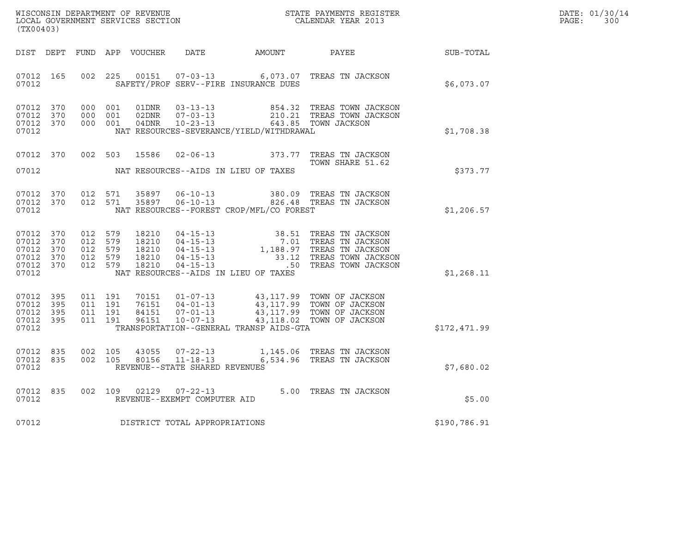| DATE: | 01/30/14 |
|-------|----------|
| PAGE: | 300      |

| (TX00403)                                                              |  |  |                                                     |                         |                                |                                            |                                                                                                                                                                                                                                                                                                                        | $R = \frac{1}{2}$ | DATE: 01/30/14<br>$\texttt{PAGE}$ :<br>300 |
|------------------------------------------------------------------------|--|--|-----------------------------------------------------|-------------------------|--------------------------------|--------------------------------------------|------------------------------------------------------------------------------------------------------------------------------------------------------------------------------------------------------------------------------------------------------------------------------------------------------------------------|-------------------|--------------------------------------------|
|                                                                        |  |  |                                                     |                         |                                |                                            | DIST DEPT FUND APP VOUCHER DATE AMOUNT PAYEE PAYER SUB-TOTAL                                                                                                                                                                                                                                                           |                   |                                            |
| 07012 165<br>07012                                                     |  |  |                                                     |                         |                                | SAFETY/PROF SERV--FIRE INSURANCE DUES      | 002 225 00151 07-03-13 6,073.07 TREAS TN JACKSON                                                                                                                                                                                                                                                                       | \$6,073.07        |                                            |
| 07012 370<br>07012 370<br>07012 370<br>07012                           |  |  |                                                     |                         |                                |                                            | 000 001 01DNR 03-13-13 854.32 TREAS TOWN JACKSON<br>000 001 02DNR 07-03-13 210.21 TREAS TOWN JACKSON<br>000 001 04DNR 10-23-13 643.85 TOWN JACKSON<br>NAT RESOURCES-SEVERANCE/YIELD/WITHDRAWAL                                                                                                                         | \$1,708.38        |                                            |
|                                                                        |  |  |                                                     | 07012 370 002 503 15586 |                                | 07012 NAT RESOURCES--AIDS IN LIEU OF TAXES | 02-06-13 373.77 TREAS TN JACKSON<br>TOWN SHARE 51.62                                                                                                                                                                                                                                                                   | \$373.77          |                                            |
| 07012 370<br>07012 370<br>07012                                        |  |  | 012 571<br>012 571                                  |                         |                                | NAT RESOURCES--FOREST CROP/MFL/CO FOREST   | 35897   06-10-13   380.09   TREAS TN JACKSON<br>35897   06-10-13   326.48   TREAS TN JACKSON                                                                                                                                                                                                                           | \$1,206.57        |                                            |
| 07012 370<br>07012 370<br>07012 370<br>07012 370<br>07012 370<br>07012 |  |  | 012 579<br>012 579<br>012 579<br>012 579<br>012 579 |                         |                                | NAT RESOURCES--AIDS IN LIEU OF TAXES       | $\begin{tabular}{llllllll} 18210 & 04-15-13 & 38.51 \mbox{ TREAS TN JACKSON} \\ 18210 & 04-15-13 & 7.01 \mbox{ TREAS TN JACKSON} \\ 18210 & 04-15-13 & 1,188.97 \mbox{ TREAS TN JACKSON} \\ 18210 & 04-15-13 & 33.12 \mbox{ TREAS TOWN JACKSON} \\ 18210 & 04-15-13 & .50 \mbox{ TREAS TOWN JACKSON} \\ \end{tabular}$ | \$1,268.11        |                                            |
| 07012 395<br>07012 395<br>07012 395<br>07012 395<br>07012              |  |  | 011 191<br>011 191<br>011 191<br>011 191            |                         |                                | TRANSPORTATION--GENERAL TRANSP AIDS-GTA    | 70151  01-07-13  43,117.99  TOWN OF JACKSON<br>76151  04-01-13  43,117.99  TOWN OF JACKSON<br>84151  07-01-13  43,117.99  TOWN OF JACKSON<br>96151  10-07-13  43,118.02  TOWN OF JACKSON                                                                                                                               | \$172,471.99      |                                            |
| 07012 835<br>07012 835<br>07012                                        |  |  | 002 105<br>002 105                                  |                         | REVENUE--STATE SHARED REVENUES |                                            | $1,145.06$ TREAS TN JACKSON<br>80156   11-18-13   6,534.96 TREAS TN JACKSON                                                                                                                                                                                                                                            | \$7,680.02        |                                            |
| 07012                                                                  |  |  |                                                     |                         | REVENUE--EXEMPT COMPUTER AID   |                                            | 07012 835 002 109 02129 07-22-13 5.00 TREAS TN JACKSON                                                                                                                                                                                                                                                                 | \$5.00            |                                            |
| 07012                                                                  |  |  |                                                     |                         | DISTRICT TOTAL APPROPRIATIONS  |                                            |                                                                                                                                                                                                                                                                                                                        | \$190,786.91      |                                            |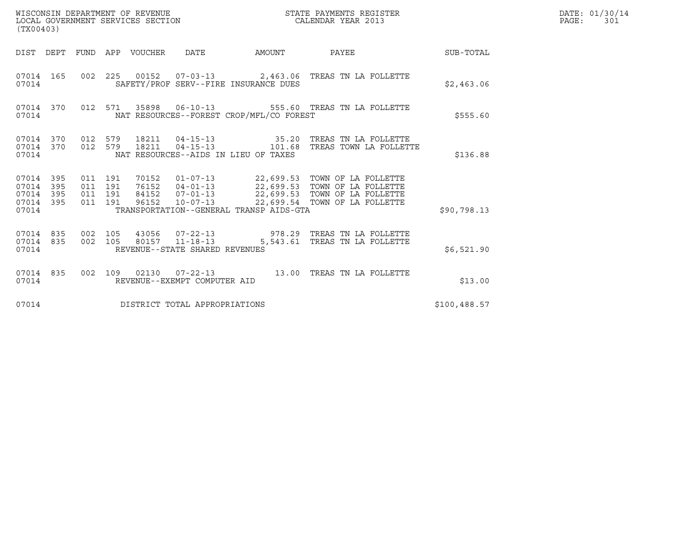| WISCONSIN DEPARTMENT OF REVENUE<br>LOCAL GOVERNMENT SERVICES SECTION<br>(TX00403) |                   |                                      |                    |                                 |                                                  |                                                                 | STATE PAYMENTS REGISTER<br>CALENDAR YEAR 2013                                                                                                                                 |              | DATE: 01/30/14<br>PAGE:<br>301 |
|-----------------------------------------------------------------------------------|-------------------|--------------------------------------|--------------------|---------------------------------|--------------------------------------------------|-----------------------------------------------------------------|-------------------------------------------------------------------------------------------------------------------------------------------------------------------------------|--------------|--------------------------------|
|                                                                                   |                   |                                      |                    | DIST DEPT FUND APP VOUCHER DATE |                                                  | AMOUNT                                                          | PAYEE SUB-TOTAL                                                                                                                                                               |              |                                |
| 07014 165<br>07014                                                                |                   |                                      |                    |                                 |                                                  | SAFETY/PROF SERV--FIRE INSURANCE DUES                           | 002 225 00152 07-03-13 2,463.06 TREAS TN LA FOLLETTE                                                                                                                          | \$2,463.06   |                                |
| 07014 370<br>07014                                                                |                   |                                      |                    |                                 |                                                  | NAT RESOURCES--FOREST CROP/MFL/CO FOREST                        | 012 571 35898 06-10-13 555.60 TREAS TN LA FOLLETTE                                                                                                                            | \$555.60     |                                |
| 07014 370<br>07014 370<br>07014                                                   |                   |                                      | 012 579<br>012 579 |                                 |                                                  | 18211  04-15-13   35.20<br>NAT RESOURCES--AIDS IN LIEU OF TAXES | TREAS TN LA FOLLETTE<br>18211  04-15-13    101.68    TREAS TOWN LA FOLLETTE                                                                                                   | \$136.88     |                                |
| 07014 395<br>07014<br>07014<br>07014<br>07014                                     | 395<br>395<br>395 | 011 191<br>011 191<br>011<br>011 191 | 191                | 84152<br>96152                  | $10 - 07 - 13$                                   | TRANSPORTATION--GENERAL TRANSP AIDS-GTA                         | 70152  01-07-13  22,699.53  TOWN OF LA FOLLETTE<br>76152  04-01-13  22,699.53  TOWN OF LA FOLLETTE<br>07-01-13 22,699.53 TOWN OF LA FOLLETTE<br>22,699.54 TOWN OF LA FOLLETTE | \$90,798.13  |                                |
| 07014 835<br>07014 835<br>07014                                                   |                   | 002 105<br>002 105                   |                    |                                 | 80157 11-18-13<br>REVENUE--STATE SHARED REVENUES |                                                                 | 43056  07-22-13  978.29  TREAS TN LA FOLLETTE<br>5,543.61 TREAS TN LA FOLLETTE                                                                                                | \$6,521.90   |                                |
| 07014 835<br>07014                                                                |                   | 002 109                              |                    |                                 | REVENUE--EXEMPT COMPUTER AID                     |                                                                 |                                                                                                                                                                               | \$13.00      |                                |
| 07014                                                                             |                   |                                      |                    |                                 | DISTRICT TOTAL APPROPRIATIONS                    |                                                                 |                                                                                                                                                                               | \$100,488.57 |                                |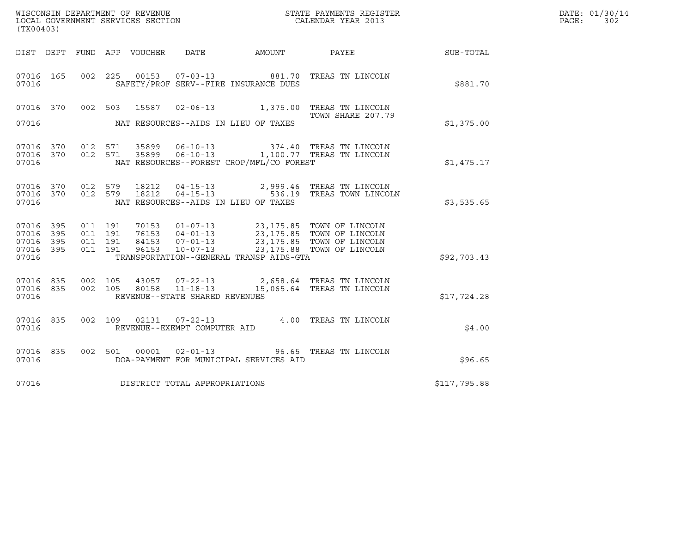| (TX00403)                                                 |                                                                                                                                                                                                                                                                        |                                                                                        | DATE: 01/30/14<br>PAGE:<br>302 |
|-----------------------------------------------------------|------------------------------------------------------------------------------------------------------------------------------------------------------------------------------------------------------------------------------------------------------------------------|----------------------------------------------------------------------------------------|--------------------------------|
|                                                           |                                                                                                                                                                                                                                                                        | DIST DEPT FUND APP VOUCHER DATE AMOUNT PAYEE SUB-TOTAL                                 |                                |
| 07016 165<br>07016                                        | 002 225 00153 07-03-13 881.70 TREAS TN LINCOLN<br>SAFETY/PROF SERV--FIRE INSURANCE DUES                                                                                                                                                                                | \$881.70                                                                               |                                |
| 07016 370<br>07016                                        | 002 503 15587 02-06-13 1,375.00 TREAS TN LINCOLN<br>NAT RESOURCES--AIDS IN LIEU OF TAXES                                                                                                                                                                               | TOWN SHARE 207.79<br>\$1,375.00                                                        |                                |
| 07016 370<br>07016 370<br>07016                           | 012 571 35899 06-10-13 374.40 TREAS TN LINCOLN<br>012 571 35899 06-10-13 1,100.77 TREAS TN LINCOLN<br>NAT RESOURCES--FOREST CROP/MFL/CO FOREST                                                                                                                         | \$1,475.17                                                                             |                                |
| 07016 370<br>07016 370<br>07016                           | 012 579 18212<br>012 579 18212<br>NAT RESOURCES--AIDS IN LIEU OF TAXES                                                                                                                                                                                                 | 04-15-13 2,999.46 TREAS TN LINCOLN<br>04-15-13 536.19 TREAS TOWN LINCOLN<br>\$3,535.65 |                                |
| 07016 395<br>07016 395<br>07016 395<br>07016 395<br>07016 | 011 191<br>70153  01-07-13  23,175.85  TOWN OF LINCOLN<br>76153 04-01-13 23,175.85 TOWN OF LINCOLN<br>84153 07-01-13 23,175.85 TOWN OF LINCOLN<br>96153 10-07-13 23,175.88 TOWN OF LINCOLN<br>011 191<br>011 191<br>011 191<br>TRANSPORTATION--GENERAL TRANSP AIDS-GTA | \$92,703.43                                                                            |                                |
| 07016 835<br>07016 835<br>07016                           | 002 105<br>43057  07-22-13  2,658.64  TREAS TN LINCOLN<br>80158  11-18-13  15,065.64  TREAS TN LINCOLN<br>002 105<br>REVENUE--STATE SHARED REVENUES                                                                                                                    | \$17,724.28                                                                            |                                |
| 07016 835<br>07016                                        | 002 109 02131 07-22-13 4.00 TREAS TN LINCOLN<br>REVENUE--EXEMPT COMPUTER AID                                                                                                                                                                                           | \$4.00                                                                                 |                                |
| 07016 835<br>07016                                        | 002 501 00001 02-01-13 96.65 TREAS TN LINCOLN<br>DOA-PAYMENT FOR MUNICIPAL SERVICES AID                                                                                                                                                                                | \$96.65                                                                                |                                |
|                                                           | 07016 DISTRICT TOTAL APPROPRIATIONS                                                                                                                                                                                                                                    | \$117,795.88                                                                           |                                |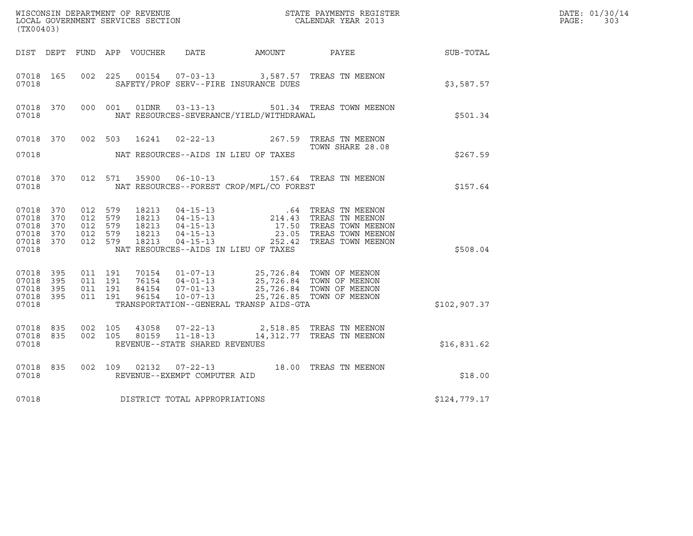| (TX00403)                                                          |           |                                                     |         |                            |                                                  |                                          |                                                                                                                                                                                                                                                                                                                  |              | DATE: 01/30/14<br>PAGE:<br>303 |
|--------------------------------------------------------------------|-----------|-----------------------------------------------------|---------|----------------------------|--------------------------------------------------|------------------------------------------|------------------------------------------------------------------------------------------------------------------------------------------------------------------------------------------------------------------------------------------------------------------------------------------------------------------|--------------|--------------------------------|
|                                                                    |           |                                                     |         | DIST DEPT FUND APP VOUCHER | DATE                                             | AMOUNT                                   | PAYEE                                                                                                                                                                                                                                                                                                            | SUB-TOTAL    |                                |
| 07018 165<br>07018                                                 |           | 002 225                                             |         | 00154                      |                                                  | SAFETY/PROF SERV--FIRE INSURANCE DUES    | 07-03-13 3,587.57 TREAS TN MEENON                                                                                                                                                                                                                                                                                | \$3,587.57   |                                |
| 07018 370<br>07018                                                 |           |                                                     | 000 001 | 01DNR                      |                                                  | NAT RESOURCES-SEVERANCE/YIELD/WITHDRAWAL | 03-13-13 501.34 TREAS TOWN MEENON                                                                                                                                                                                                                                                                                | \$501.34     |                                |
| 07018 370<br>07018                                                 |           | 002 503                                             |         | 16241                      |                                                  | NAT RESOURCES--AIDS IN LIEU OF TAXES     | 02-22-13 267.59 TREAS TN MEENON<br>TOWN SHARE 28.08                                                                                                                                                                                                                                                              | \$267.59     |                                |
| 07018                                                              | 07018 370 |                                                     |         | 012 571 35900              |                                                  | NAT RESOURCES--FOREST CROP/MFL/CO FOREST | 06-10-13 157.64 TREAS TN MEENON                                                                                                                                                                                                                                                                                  | \$157.64     |                                |
| 07018 370<br>07018 370<br>07018<br>07018 370<br>07018 370<br>07018 | 370       | 012 579<br>012 579<br>012 579<br>012 579<br>012 579 |         | 18213<br>18213             | $04 - 15 - 13$                                   | NAT RESOURCES--AIDS IN LIEU OF TAXES     | 18213  04-15-13    .64    TREAS TN MEENON    18213  04-15-13    .64    TREAS TN MEENON    18213  04-15-13    214.43    TREAS TN MEENON    18213    04-15-13    23.05    TREAS TOWN MEENON    18213    04-15-13    23.05    TRE<br>17.50 TREAS TOWN MEENON<br>23.05 TREAS TOWN MEENON<br>252.42 TREAS TOWN MEENON | \$508.04     |                                |
| 07018 395<br>07018<br>07018 395<br>07018 395<br>07018              | 395       | 011 191<br>011 191<br>011 191<br>011 191            |         | 96154                      | $10 - 07 - 13$                                   | TRANSPORTATION--GENERAL TRANSP AIDS-GTA  | $\begin{array}{cccc} 70154 & 01\hbox{-}07\hbox{-}13 & 25\hbox{/}726.84 & \text{TOWN OF MEENON}\\ 76154 & 04\hbox{-}01\hbox{-}13 & 25\hbox{/}726.84 & \text{TOWN OF MEENON}\\ 84154 & 07\hbox{-}01\hbox{-}13 & 25\hbox{/}726.84 & \text{TOWN OF MEENON}\\ \end{array}$<br>25,726.85 TOWN OF MEENON                | \$102,907.37 |                                |
| 07018 835<br>07018 835<br>07018                                    |           | 002 105<br>002 105                                  |         | 43058<br>80159             | $11 - 18 - 13$<br>REVENUE--STATE SHARED REVENUES |                                          | 07-22-13 2,518.85 TREAS TN MEENON<br>14,312.77 TREAS TN MEENON                                                                                                                                                                                                                                                   | \$16,831.62  |                                |
| 07018 835<br>07018                                                 |           | 002 109                                             |         |                            | REVENUE--EXEMPT COMPUTER AID                     |                                          | 02132  07-22-13  18.00 TREAS TN MEENON                                                                                                                                                                                                                                                                           | \$18.00      |                                |
| 07018                                                              |           |                                                     |         |                            | DISTRICT TOTAL APPROPRIATIONS                    |                                          |                                                                                                                                                                                                                                                                                                                  | \$124,779.17 |                                |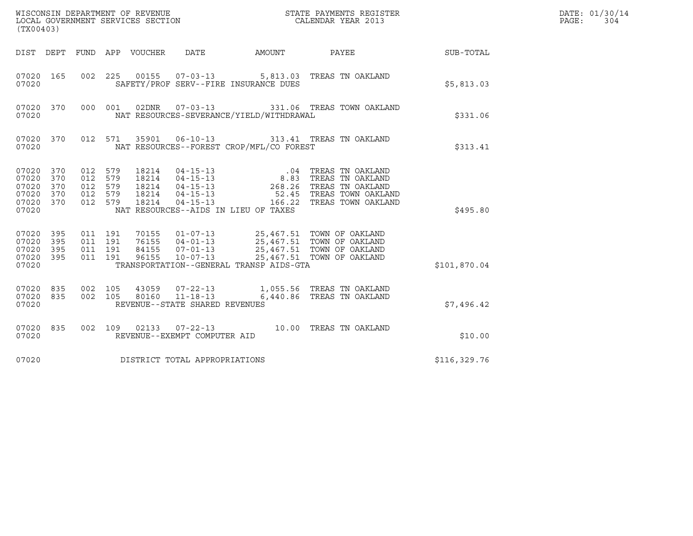|                                                                | WISCONSIN DEPARTMENT OF REVENUE<br>LOCAL GOVERNMENT SERVICES SECTION<br>STATE PAYMENTS REGISTER<br>LOCAL GOVERNMENT SERVICES SECTION<br>CALENDAR YEAR 2013<br>(TX00403) |                                                 |         |                  |                                |                                          |                                                                                                                                                                                                                                                                                                                                                                                                                                       |               | DATE: 01/30/14<br>PAGE:<br>304 |
|----------------------------------------------------------------|-------------------------------------------------------------------------------------------------------------------------------------------------------------------------|-------------------------------------------------|---------|------------------|--------------------------------|------------------------------------------|---------------------------------------------------------------------------------------------------------------------------------------------------------------------------------------------------------------------------------------------------------------------------------------------------------------------------------------------------------------------------------------------------------------------------------------|---------------|--------------------------------|
| DIST DEPT                                                      |                                                                                                                                                                         |                                                 |         | FUND APP VOUCHER | DATE                           | AMOUNT                                   | PAYEE SUB-TOTAL                                                                                                                                                                                                                                                                                                                                                                                                                       |               |                                |
| 07020 165<br>07020                                             |                                                                                                                                                                         | 002 225                                         |         |                  | 00155 07-03-13                 | SAFETY/PROF SERV--FIRE INSURANCE DUES    | 5,813.03 TREAS TN OAKLAND                                                                                                                                                                                                                                                                                                                                                                                                             | \$5,813.03    |                                |
| 07020 370<br>07020                                             |                                                                                                                                                                         |                                                 | 000 001 | 02DNR            | $07 - 03 - 13$                 | NAT RESOURCES-SEVERANCE/YIELD/WITHDRAWAL | 331.06 TREAS TOWN OAKLAND                                                                                                                                                                                                                                                                                                                                                                                                             | \$331.06      |                                |
| 07020 370<br>07020                                             |                                                                                                                                                                         |                                                 | 012 571 | 35901            | $06 - 10 - 13$                 | NAT RESOURCES--FOREST CROP/MFL/CO FOREST | 313.41 TREAS TN OAKLAND                                                                                                                                                                                                                                                                                                                                                                                                               | \$313.41      |                                |
| 07020 370<br>07020<br>07020<br>07020 370<br>07020 370<br>07020 | 370<br>370                                                                                                                                                              | 012 579<br>012<br>012 579<br>012 579<br>012 579 | 579     | 18214            | $04 - 15 - 13$                 | NAT RESOURCES--AIDS IN LIEU OF TAXES     | $\begin{tabular}{llllll} 18214 & 04-15-13 & .04 \hspace{3.5mm} \text{TERS} & \text{TN} & \text{OAKLAND} \\ 18214 & 04-15-13 & .8.83 \hspace{3.5mm} \text{TERS} & \text{TN} & \text{OAKLAND} \\ 18214 & 04-15-13 & 268.26 \hspace{3.5mm} \text{TERS} & \text{TN} & \text{OAKLAND} \\ 18214 & 04-15-13 & .52.45 \hspace{3.5mm} \text{TERAS} & \text{TW} & \text{OAKLAND} \\ \$<br>52.45 TREAS TOWN OAKLAND<br>166.22 TREAS TOWN OAKLAND | \$495.80      |                                |
| 07020<br>07020<br>07020<br>07020 395<br>07020                  | 395<br>395<br>395                                                                                                                                                       | 011 191<br>011 191<br>011 191<br>011 191        |         |                  |                                | TRANSPORTATION--GENERAL TRANSP AIDS-GTA  | 70155  01-07-13  25,467.51  TOWN OF OAKLAND<br>76155  04-01-13  25,467.51  TOWN OF OAKLAND<br>84155  07-01-13  25,467.51  TOWN OF OAKLAND<br>96155  10-07-13  25,467.51  TOWN OF OAKLAND<br>25,467.51 TOWN OF OAKLAND                                                                                                                                                                                                                 | \$101,870.04  |                                |
| 07020 835<br>07020 835<br>07020                                |                                                                                                                                                                         | 002 105<br>002 105                              |         |                  | REVENUE--STATE SHARED REVENUES |                                          | 43059  07-22-13   1,055.56  TREAS TN OAKLAND<br>80160  11-18-13   6,440.86  TREAS TN OAKLAND                                                                                                                                                                                                                                                                                                                                          | \$7,496.42    |                                |
| 07020 835<br>07020                                             |                                                                                                                                                                         |                                                 | 002 109 |                  | REVENUE--EXEMPT COMPUTER AID   |                                          | 02133  07-22-13  10.00  TREAS TN OAKLAND                                                                                                                                                                                                                                                                                                                                                                                              | \$10.00       |                                |
| 07020                                                          |                                                                                                                                                                         |                                                 |         |                  | DISTRICT TOTAL APPROPRIATIONS  |                                          |                                                                                                                                                                                                                                                                                                                                                                                                                                       | \$116, 329.76 |                                |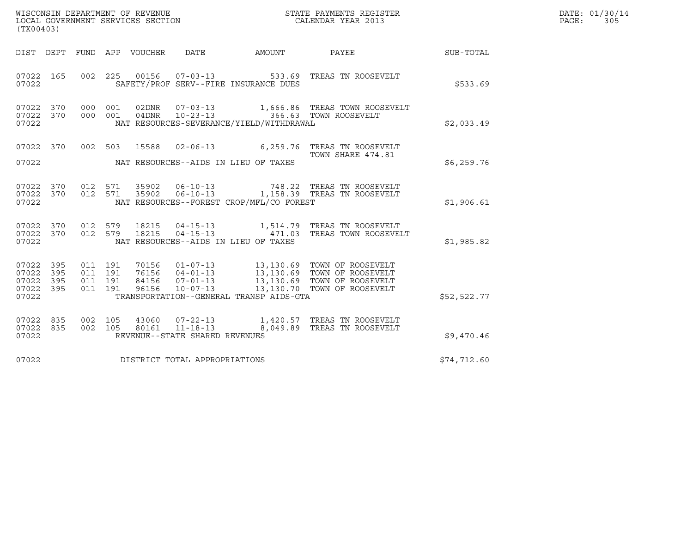| WISCONSIN DEPARTMENT OF REVENUE   | STATE PAYMENTS REGISTER | DATE: 01/30/14 |
|-----------------------------------|-------------------------|----------------|
| LOCAL GOVERNMENT SERVICES SECTION | CALENDAR YEAR 2013      | PAGE :<br>305  |

| (TX00403)                                                 |  |               |                                      |                                          | WISCONSIN DEPARTMENT OF REVENUE<br>LOCAL GOVERNMENT SERVICES SECTION<br>CALENDAR YEAR 2013                                                                                                                                                                                                                                                       |              | DATE: 01/30/14<br>PAGE:<br>305 |
|-----------------------------------------------------------|--|---------------|--------------------------------------|------------------------------------------|--------------------------------------------------------------------------------------------------------------------------------------------------------------------------------------------------------------------------------------------------------------------------------------------------------------------------------------------------|--------------|--------------------------------|
|                                                           |  |               |                                      |                                          | DIST DEPT FUND APP VOUCHER DATE AMOUNT PAYEE THE SUB-TOTAL                                                                                                                                                                                                                                                                                       |              |                                |
| 07022 165<br>07022                                        |  |               |                                      | SAFETY/PROF SERV--FIRE INSURANCE DUES    | 002  225  00156  07-03-13  533.69  TREAS TN ROOSEVELT                                                                                                                                                                                                                                                                                            | \$533.69     |                                |
| 07022 370<br>07022 370<br>07022                           |  | 000 001 02DNR |                                      | NAT RESOURCES-SEVERANCE/YIELD/WITHDRAWAL | 07-03-13 1,666.86 TREAS TOWN ROOSEVELT<br>000 001 04DNR 10-23-13 366.63 TOWN ROOSEVELT                                                                                                                                                                                                                                                           | \$2,033.49   |                                |
| 07022 370<br>07022                                        |  |               | NAT RESOURCES--AIDS IN LIEU OF TAXES |                                          | 002 503 15588 02-06-13 6,259.76 TREAS TN ROOSEVELT<br>TOWN SHARE 474.81                                                                                                                                                                                                                                                                          | \$6,259.76   |                                |
| 07022 370<br>07022 370<br>07022                           |  |               |                                      | NAT RESOURCES--FOREST CROP/MFL/CO FOREST | 012 571 35902 06-10-13 748.22 TREAS TN ROOSEVELT 012 571 35902 06-10-13 1,158.39 TREAS TN ROOSEVELT                                                                                                                                                                                                                                              | \$1,906.61   |                                |
| 07022 370<br>07022 370<br>07022                           |  |               |                                      | NAT RESOURCES--AIDS IN LIEU OF TAXES     | 012 579 18215 04-15-13 1,514.79 TREAS TN ROOSEVELT<br>012 579 18215 04-15-13 471.03 TREAS TOWN ROOSEVELT                                                                                                                                                                                                                                         | \$1,985.82   |                                |
| 07022 395<br>07022 395<br>07022 395<br>07022 395<br>07022 |  |               |                                      | TRANSPORTATION--GENERAL TRANSP AIDS-GTA  | $\begin{array}{cccccc} 011 & 191 & 70156 & 01\text{--}07\text{--}13 & 13,130.69 & \text{TOWN OF ROOSEVELT} \\ 011 & 191 & 76156 & 04\text{--}01\text{--}13 & 13,130.69 & \text{TOWN OF ROOSEVELT} \\ 011 & 191 & 84156 & 07\text{--}01\text{--}13 & 13,130.69 & \text{TOWN OF ROOSEVELT} \\ 011 & 191 & 96156 & 10\text{--}07\text{--}13 & 13,1$ | \$52,522.77  |                                |
| 07022 835<br>07022 835<br>07022                           |  |               | REVENUE--STATE SHARED REVENUES       |                                          | $\begin{array}{cccc} 002 & 105 & 43060 & 07-22-13 & 1,420.57 & \text{TREAS TN ROOSEVELT} \\ 002 & 105 & 80161 & 11-18-13 & 8,049.89 & \text{TREAS TN ROOSEVELT} \end{array}$                                                                                                                                                                     | \$9,470.46   |                                |
| 07022                                                     |  |               | DISTRICT TOTAL APPROPRIATIONS        |                                          |                                                                                                                                                                                                                                                                                                                                                  | \$74, 712.60 |                                |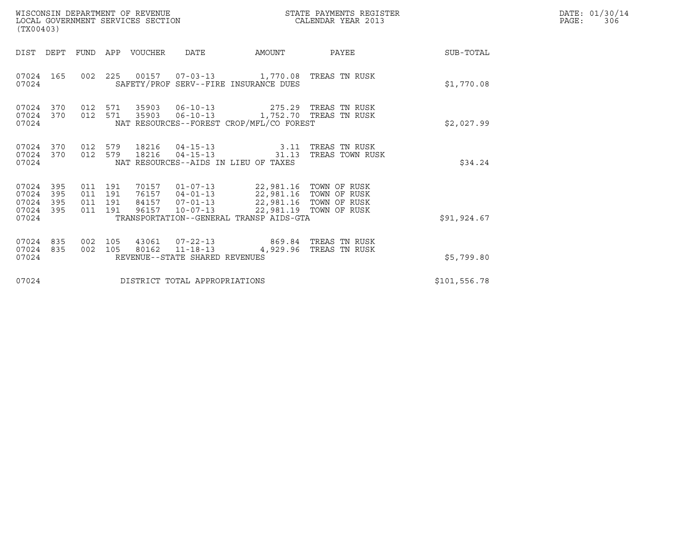| (TX00403)                                     |                   |                                          | WISCONSIN DEPARTMENT OF REVENUE<br>LOCAL GOVERNMENT SERVICES SECTION |                                |                                                                                                                                                                                                                         | STATE PAYMENTS REGISTER<br>CALENDAR YEAR 2013 |              | DATE: 01/30/14<br>PAGE:<br>306 |
|-----------------------------------------------|-------------------|------------------------------------------|----------------------------------------------------------------------|--------------------------------|-------------------------------------------------------------------------------------------------------------------------------------------------------------------------------------------------------------------------|-----------------------------------------------|--------------|--------------------------------|
|                                               |                   |                                          | DIST DEPT FUND APP VOUCHER                                           | DATE                           | AMOUNT                                                                                                                                                                                                                  | PAYEE                                         | SUB-TOTAL    |                                |
| 07024 165<br>07024                            |                   |                                          |                                                                      |                                | 002 225 00157 07-03-13 1,770.08 TREAS TN RUSK<br>SAFETY/PROF SERV--FIRE INSURANCE DUES                                                                                                                                  |                                               | \$1,770.08   |                                |
| 07024 370<br>07024 370<br>07024               |                   | 012 571<br>012 571                       |                                                                      |                                | 35903  06-10-13  275.29  TREAS TN RUSK<br>35903  06-10-13  1,752.70  TREAS TN RUSK<br>NAT RESOURCES--FOREST CROP/MFL/CO FOREST                                                                                          |                                               | \$2,027.99   |                                |
| 07024 370<br>07024<br>07024                   | 370               | 012 579<br>012 579                       | 18216                                                                | $04 - 15 - 13$                 | 18216  04-15-13  3.11 TREAS TN RUSK<br>NAT RESOURCES--AIDS IN LIEU OF TAXES                                                                                                                                             | 31.13 TREAS TOWN RUSK                         | \$34.24      |                                |
| 07024 395<br>07024<br>07024<br>07024<br>07024 | 395<br>395<br>395 | 011 191<br>011 191<br>011 191<br>011 191 | 96157                                                                | $10 - 07 - 13$                 | 70157  01-07-13  22,981.16  TOWN OF RUSK<br>76157  04-01-13  22,981.16  TOWN OF RUSK<br>84157  07-01-13  22,981.16  TOWN OF RUSK<br>96157  10-07-13  22,981.19  TOWN OF RUSK<br>TRANSPORTATION--GENERAL TRANSP AIDS-GTA | 22,981.19 TOWN OF RUSK                        | \$91,924.67  |                                |
| 07024 835<br>07024 835<br>07024               |                   | 002 105<br>002 105                       | 80162                                                                | REVENUE--STATE SHARED REVENUES | 43061  07-22-13  869.84 TREAS TN RUSK<br>11-18-13 4,929.96 TREAS TN RUSK                                                                                                                                                |                                               | \$5,799.80   |                                |
| 07024                                         |                   |                                          |                                                                      | DISTRICT TOTAL APPROPRIATIONS  |                                                                                                                                                                                                                         |                                               | \$101,556.78 |                                |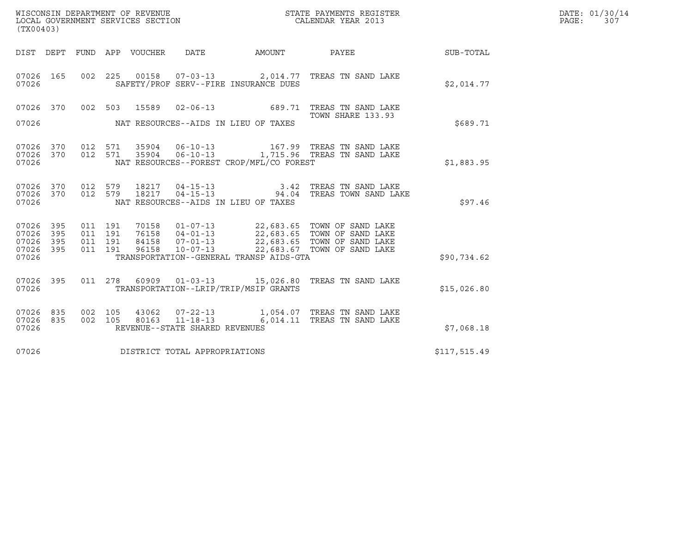| WISCONSIN DEPARTMENT OF REVENUE   | STATE PAYMENTS REGISTER | DATE: 01/30/14 | 307 |
|-----------------------------------|-------------------------|----------------|-----|
| LOCAL GOVERNMENT SERVICES SECTION | CALENDAR YEAR 2013      | PAGE:          |     |

| (TX00403)                                                                                         |                                                                                                                   |                                                                                                                                                              |              |
|---------------------------------------------------------------------------------------------------|-------------------------------------------------------------------------------------------------------------------|--------------------------------------------------------------------------------------------------------------------------------------------------------------|--------------|
| DIST<br>DEPT                                                                                      | FUND APP VOUCHER DATE<br>AMOUNT                                                                                   | <b>PAYEE</b> FOR THE PAYEE                                                                                                                                   | SUB-TOTAL    |
| 07026<br>165<br>002<br>07026                                                                      | 225<br>SAFETY/PROF SERV--FIRE INSURANCE DUES                                                                      | 00158  07-03-13  2,014.77  TREAS TN SAND LAKE                                                                                                                | \$2,014.77   |
| 07026<br>370<br>002<br>07026                                                                      | 503<br>15589<br>$02 - 06 - 13$<br>NAT RESOURCES--AIDS IN LIEU OF TAXES                                            | 689.71 TREAS TN SAND LAKE<br>TOWN SHARE 133.93                                                                                                               | \$689.71     |
| 07026<br>370<br>012<br>07026<br>370<br>012<br>07026                                               | 571<br>571<br>NAT RESOURCES--FOREST CROP/MFL/CO FOREST                                                            | 35904  06-10-13    1,715.96    TREAS TN SAND LAKE                                                                                                            | \$1,883.95   |
| 07026<br>370<br>012<br>07026<br>012<br>370<br>07026                                               | 18217  04-15-13<br>579<br>579<br>NAT RESOURCES--AIDS IN LIEU OF TAXES                                             | 3.42 TREAS TN SAND LAKE<br>18217  04-15-13  94.04 TREAS TOWN SAND LAKE                                                                                       | \$97.46      |
| 07026<br>395<br>011<br>07026<br>395<br>011<br>07026<br>395<br>011<br>07026<br>395<br>011<br>07026 | 70158<br>191<br>76158<br>191<br>191<br>84158  07-01-13<br>96158<br>191<br>TRANSPORTATION--GENERAL TRANSP AIDS-GTA | 01-07-13 22,683.65 TOWN OF SAND LAKE<br>04-01-13 22,683.65 TOWN OF SAND LAKE<br>07-01-13 22,683.65 TOWN OF SAND LAKE<br>10-07-13 22,683.67 TOWN OF SAND LAKE | \$90,734.62  |
| 07026<br>395<br>011<br>07026                                                                      | 278<br>60909<br>TRANSPORTATION--LRIP/TRIP/MSIP GRANTS                                                             | 01-03-13 15,026.80 TREAS TN SAND LAKE                                                                                                                        | \$15,026.80  |
| 07026<br>835<br>002<br>002<br>07026<br>835<br>07026                                               | 105<br>43062<br>105<br>80163<br>REVENUE--STATE SHARED REVENUES                                                    | 07-22-13 1,054.07 TREAS TN SAND LAKE<br>11-18-13 6,014.11 TREAS TN SAND LAKE                                                                                 | \$7,068.18   |
| 07026                                                                                             | DISTRICT TOTAL APPROPRIATIONS                                                                                     |                                                                                                                                                              | \$117,515.49 |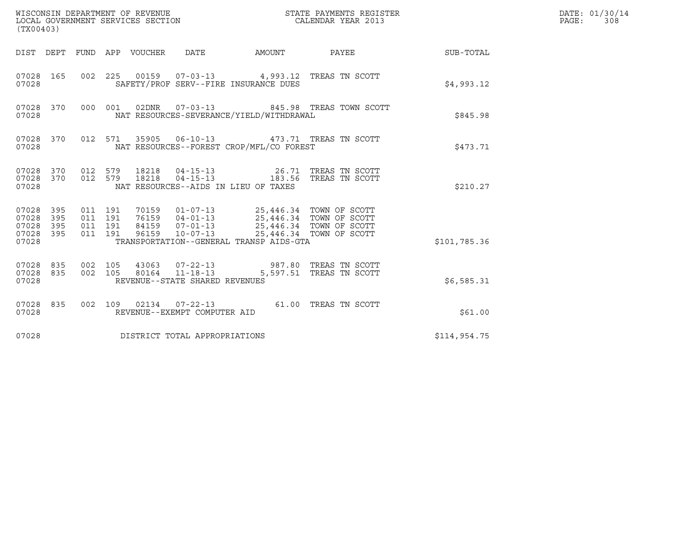| (TX00403)                                                 |                                                   |                                                                     |                                                                                                                                                                                                               |                                                  |              | DATE: 01/30/14<br>$\mathtt{PAGE}$ :<br>308 |
|-----------------------------------------------------------|---------------------------------------------------|---------------------------------------------------------------------|---------------------------------------------------------------------------------------------------------------------------------------------------------------------------------------------------------------|--------------------------------------------------|--------------|--------------------------------------------|
|                                                           | DIST DEPT FUND APP VOUCHER DATE                   |                                                                     |                                                                                                                                                                                                               | AMOUNT PAYEE SUB-TOTAL                           |              |                                            |
| 07028 165<br>07028                                        |                                                   |                                                                     | 002 225 00159 07-03-13 4,993.12 TREAS TN SCOTT<br>SAFETY/PROF SERV--FIRE INSURANCE DUES                                                                                                                       |                                                  | \$4,993.12   |                                            |
| 07028 370<br>07028                                        |                                                   |                                                                     | NAT RESOURCES-SEVERANCE/YIELD/WITHDRAWAL                                                                                                                                                                      | 000 001 02DNR  07-03-13  845.98 TREAS TOWN SCOTT | \$845.98     |                                            |
| 07028 370<br>07028                                        | 012 571                                           |                                                                     | 35905  06-10-13  473.71  TREAS TN SCOTT<br>NAT RESOURCES--FOREST CROP/MFL/CO FOREST                                                                                                                           |                                                  | \$473.71     |                                            |
| 07028 370<br>07028 370<br>07028                           |                                                   |                                                                     | $\begin{array}{cccccc} 012 & 579 & 18218 & 04-15-13 & & 26.71 & \text{TREAS TN SCOTT} \\ 012 & 579 & 18218 & 04-15-13 & & 183.56 & \text{TREAS TN SCOTT} \end{array}$<br>NAT RESOURCES--AIDS IN LIEU OF TAXES |                                                  | \$210.27     |                                            |
| 07028 395<br>07028 395<br>07028 395<br>07028 395<br>07028 | 011 191<br>011 191<br>011 191<br>011 191<br>96159 | $10 - 07 - 13$                                                      | 70159   01-07-13   25,446.34   TOWN OF SCOTT<br>76159   04-01-13   25,446.34   TOWN OF SCOTT<br>84159   07-01-13   25,446.34   TOWN OF SCOTT<br>TRANSPORTATION--GENERAL TRANSP AIDS-GTA                       | 25,446.34 TOWN OF SCOTT                          | \$101,785.36 |                                            |
| 07028 835<br>07028 835<br>07028                           | 002 105<br>002 105                                | 43063 07-22-13<br>80164  11-18-13<br>REVENUE--STATE SHARED REVENUES |                                                                                                                                                                                                               | 987.80 TREAS TN SCOTT<br>5,597.51 TREAS TN SCOTT | \$6,585.31   |                                            |
| 07028 835<br>07028                                        |                                                   | REVENUE--EXEMPT COMPUTER AID                                        | 002 109 02134 07-22-13 61.00 TREAS TN SCOTT                                                                                                                                                                   |                                                  | \$61.00      |                                            |
| 07028                                                     |                                                   | DISTRICT TOTAL APPROPRIATIONS                                       |                                                                                                                                                                                                               |                                                  | \$114,954.75 |                                            |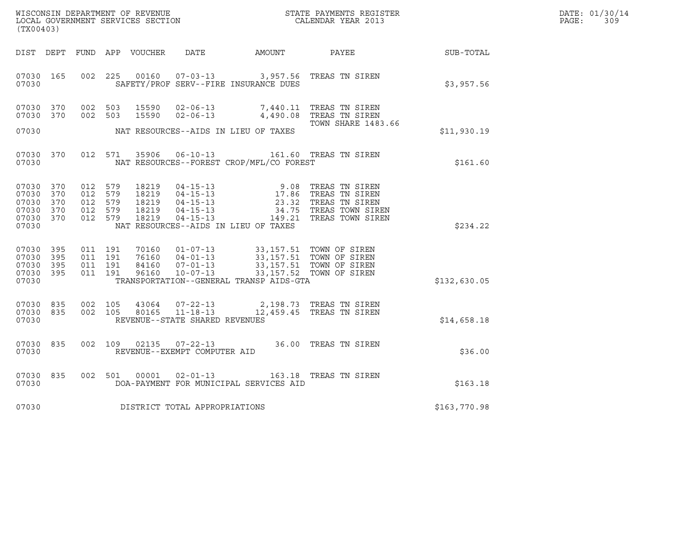| DATE: | 01/30/14 |
|-------|----------|
| PAGE: | 309      |

|                                                                        | WISCONSIN DEPARTMENT OF REVENUE<br>LOCAL GOVERNMENT SERVICES SECTION TERMS OF CALENDAR YEAR 2013<br>(TX00403) |  |                    |               |                                |                                                                                         |                                                                                                                                                                                                                                       |              | DATE: 01/30/14<br>$\mathtt{PAGE:}$<br>309 |
|------------------------------------------------------------------------|---------------------------------------------------------------------------------------------------------------|--|--------------------|---------------|--------------------------------|-----------------------------------------------------------------------------------------|---------------------------------------------------------------------------------------------------------------------------------------------------------------------------------------------------------------------------------------|--------------|-------------------------------------------|
|                                                                        |                                                                                                               |  |                    |               |                                |                                                                                         | DIST DEPT FUND APP VOUCHER DATE AMOUNT PAYEE SUB-TOTAL                                                                                                                                                                                |              |                                           |
| 07030 165<br>07030                                                     |                                                                                                               |  | 002 225            |               |                                | 00160  07-03-13  3,957.56  TREAS TN SIREN<br>SAFETY/PROF SERV--FIRE INSURANCE DUES      |                                                                                                                                                                                                                                       | \$3,957.56   |                                           |
| 07030 370<br>07030 370                                                 |                                                                                                               |  |                    |               |                                |                                                                                         | 002 503 15590 02-06-13 7,440.11 TREAS TN SIREN<br>002 503 15590 02-06-13 4,490.08 TREAS TN SIREN<br>TOWN SHARE 1483.66                                                                                                                |              |                                           |
| 07030                                                                  |                                                                                                               |  |                    |               |                                | NAT RESOURCES--AIDS IN LIEU OF TAXES                                                    |                                                                                                                                                                                                                                       | \$11,930.19  |                                           |
| 07030 370<br>07030                                                     |                                                                                                               |  |                    | 012 571 35906 |                                | NAT RESOURCES--FOREST CROP/MFL/CO FOREST                                                | 06-10-13 161.60 TREAS TN SIREN                                                                                                                                                                                                        | \$161.60     |                                           |
| 07030 370<br>07030 370<br>07030 370<br>07030 370<br>07030 370<br>07030 |                                                                                                               |  |                    |               |                                | NAT RESOURCES--AIDS IN LIEU OF TAXES                                                    | 012 579 18219 04-15-13 9.08 TREAS TN SIREN<br>012 579 18219 04-15-13 17.86 TREAS TN SIREN<br>012 579 18219 04-15-13 23.32 TREAS TN SIREN<br>012 579 18219 04-15-13 34.75 TREAS TOWN SIREN<br>012 579 18219 04-15-13 149.21 TREAS TOWN | \$234.22     |                                           |
| 07030 395<br>07030 395<br>07030 395<br>07030 395<br>07030              |                                                                                                               |  |                    |               |                                | TRANSPORTATION--GENERAL TRANSP AIDS-GTA                                                 |                                                                                                                                                                                                                                       | \$132,630.05 |                                           |
| 07030 835<br>07030 835<br>07030                                        |                                                                                                               |  | 002 105<br>002 105 |               | REVENUE--STATE SHARED REVENUES | 43064  07-22-13  2,198.73  TREAS TN SIREN<br>80165  11-18-13  12,459.45  TREAS TN SIREN |                                                                                                                                                                                                                                       | \$14,658.18  |                                           |
| 07030 835<br>07030                                                     |                                                                                                               |  | 002 109            |               | REVENUE--EXEMPT COMPUTER AID   |                                                                                         | 02135 07-22-13 36.00 TREAS TN SIREN                                                                                                                                                                                                   | \$36.00      |                                           |
| 07030<br>07030                                                         | 835                                                                                                           |  | 002 501            | 00001         | $02 - 01 - 13$                 | DOA-PAYMENT FOR MUNICIPAL SERVICES AID                                                  | 163.18 TREAS TN SIREN                                                                                                                                                                                                                 | \$163.18     |                                           |
| 07030                                                                  |                                                                                                               |  |                    |               | DISTRICT TOTAL APPROPRIATIONS  |                                                                                         |                                                                                                                                                                                                                                       | \$163,770.98 |                                           |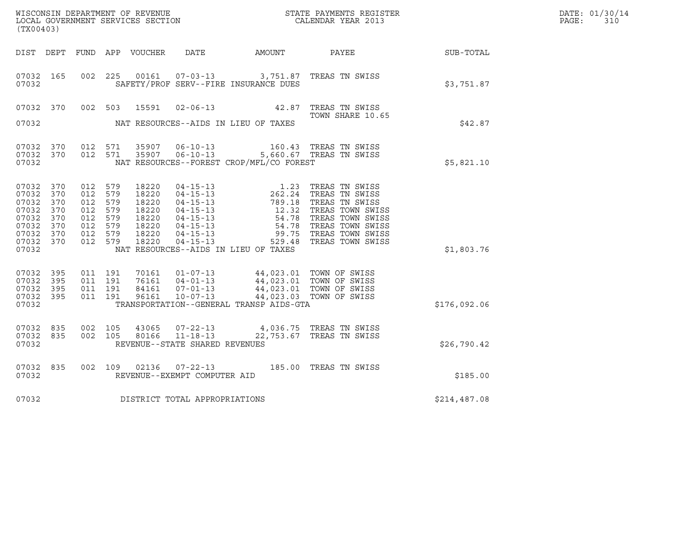|                                                                               |                                                      |                                                                                      |         |                                                                      |                                                  |                                                                                                                                                                                                                         |                                                                                                                                                                                                                                                                            |              | DATE: 01/30/14<br>PAGE:<br>310 |
|-------------------------------------------------------------------------------|------------------------------------------------------|--------------------------------------------------------------------------------------|---------|----------------------------------------------------------------------|--------------------------------------------------|-------------------------------------------------------------------------------------------------------------------------------------------------------------------------------------------------------------------------|----------------------------------------------------------------------------------------------------------------------------------------------------------------------------------------------------------------------------------------------------------------------------|--------------|--------------------------------|
| (TX00403)                                                                     |                                                      |                                                                                      |         |                                                                      |                                                  |                                                                                                                                                                                                                         |                                                                                                                                                                                                                                                                            |              |                                |
|                                                                               |                                                      |                                                                                      |         | DIST DEPT FUND APP VOUCHER DATE                                      |                                                  | <b>AMOUNT</b>                                                                                                                                                                                                           | PAYEE                                                                                                                                                                                                                                                                      | SUB-TOTAL    |                                |
| 07032 165<br>07032                                                            |                                                      | 002 225                                                                              |         | 00161                                                                | 07-03-13                                         | SAFETY/PROF SERV--FIRE INSURANCE DUES                                                                                                                                                                                   | 3,751.87 TREAS TN SWISS                                                                                                                                                                                                                                                    | \$3,751.87   |                                |
|                                                                               |                                                      |                                                                                      |         |                                                                      |                                                  |                                                                                                                                                                                                                         | 07032 370 002 503 15591 02-06-13 42.87 TREAS TN SWISS<br>TOWN SHARE 10.65                                                                                                                                                                                                  |              |                                |
| 07032                                                                         |                                                      |                                                                                      |         |                                                                      |                                                  | NAT RESOURCES--AIDS IN LIEU OF TAXES                                                                                                                                                                                    |                                                                                                                                                                                                                                                                            | \$42.87      |                                |
| 07032<br>07032 370<br>07032                                                   | 370                                                  | 012 571                                                                              | 012 571 |                                                                      |                                                  | NAT RESOURCES--FOREST CROP/MFL/CO FOREST                                                                                                                                                                                | 35907   06-10-13   160.43   TREAS TN SWISS<br>35907   06-10-13   5,660.67   TREAS TN SWISS                                                                                                                                                                                 | \$5,821.10   |                                |
| 07032<br>07032<br>07032<br>07032<br>07032<br>07032<br>07032<br>07032<br>07032 | 370<br>370<br>370<br>370<br>370<br>370<br>370<br>370 | 012 579<br>012 579<br>012 579<br>012 579<br>012 579<br>012 579<br>012 579<br>012 579 |         | 18220<br>18220<br>18220<br>18220<br>18220<br>18220<br>18220<br>18220 |                                                  | NAT RESOURCES--AIDS IN LIEU OF TAXES                                                                                                                                                                                    | 04-15-13<br>04-15-13<br>04-15-13<br>04-15-13<br>04-15-13<br>04-15-13<br>04-15-13<br>04-15-13<br>04-15-13<br>04-15-13<br>04-15-13<br>04-15-13<br>04-15-13<br>04-15-13<br>04-15-13<br>04-15-13<br>04-15-13<br>04-15-13<br>04-15-13<br>04-15-13<br>04-15-13<br>04-15-13<br>04 | \$1,803.76   |                                |
| 07032<br>07032<br>07032<br>07032<br>07032                                     | 395<br>395<br>395<br>395                             | 011 191<br>011 191<br>011 191                                                        |         | 011 191 96161                                                        |                                                  | 70161  01-07-13  44,023.01 TOWN OF SWISS<br>76161  04-01-13  44,023.01 TOWN OF SWISS<br>84161  07-01-13  44,023.01 TOWN OF SWISS<br>96161  10-07-13  44,023.03 TOWN OF SWISS<br>TRANSPORTATION--GENERAL TRANSP AIDS-GTA |                                                                                                                                                                                                                                                                            | \$176,092.06 |                                |
| 07032<br>07032<br>07032                                                       | 835<br>835                                           | 002 105                                                                              | 002 105 | 43065<br>80166                                                       | $11 - 18 - 13$<br>REVENUE--STATE SHARED REVENUES | 07-22-13 4,036.75 TREAS TN SWISS                                                                                                                                                                                        | 22,753.67 TREAS TN SWISS                                                                                                                                                                                                                                                   | \$26,790.42  |                                |
| 07032 835<br>07032                                                            |                                                      |                                                                                      |         | 002 109 02136                                                        | REVENUE--EXEMPT COMPUTER AID                     | 07-22-13 185.00 TREAS TN SWISS                                                                                                                                                                                          |                                                                                                                                                                                                                                                                            | \$185.00     |                                |
| 07032                                                                         |                                                      |                                                                                      |         |                                                                      | DISTRICT TOTAL APPROPRIATIONS                    |                                                                                                                                                                                                                         |                                                                                                                                                                                                                                                                            | \$214,487.08 |                                |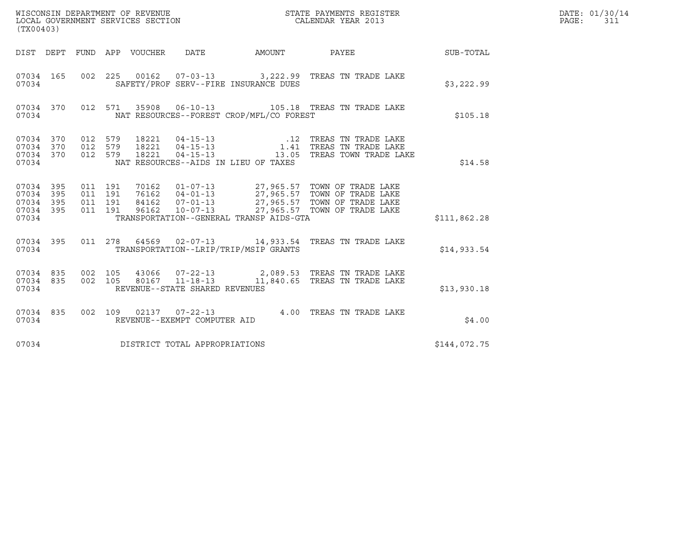| (TX00403)                                                 |                               |         |                                      |                                          | WISCONSIN DEPARTMENT OF REVENUE<br>LOCAL GOVERNMENT SERVICES SECTION CALENDAR YEAR 2013                                                                                                                           |              | DATE: 01/30/14<br>PAGE: 311 |
|-----------------------------------------------------------|-------------------------------|---------|--------------------------------------|------------------------------------------|-------------------------------------------------------------------------------------------------------------------------------------------------------------------------------------------------------------------|--------------|-----------------------------|
|                                                           |                               |         |                                      |                                          | DIST DEPT FUND APP VOUCHER DATE AMOUNT PAYEE SUB-TOTAL                                                                                                                                                            |              |                             |
| 07034 165<br>07034                                        |                               |         |                                      | SAFETY/PROF SERV--FIRE INSURANCE DUES    | 002 225 00162 07-03-13 3,222.99 TREAS TN TRADE LAKE                                                                                                                                                               | \$3,222.99   |                             |
| 07034 370<br>07034                                        |                               |         |                                      | NAT RESOURCES--FOREST CROP/MFL/CO FOREST | 012 571 35908 06-10-13 105.18 TREAS TN TRADE LAKE                                                                                                                                                                 | \$105.18     |                             |
| 07034                                                     |                               |         |                                      | NAT RESOURCES--AIDS IN LIEU OF TAXES     | 07034 370 012 579 18221 04-15-13 .12 TREAS TN TRADE LAKE<br>07034 370 012 579 18221 04-15-13 .1.41 TREAS TN TRADE LAKE<br>07034 370 012 579 18221 04-15-13 .13.05 TREAS TOWN TRADE LAKE                           | \$14.58      |                             |
| 07034 395<br>07034 395<br>07034 395<br>07034 395<br>07034 | 011 191<br>011 191<br>011 191 | 011 191 |                                      | TRANSPORTATION--GENERAL TRANSP AIDS-GTA  | 70162   01-07-13   27,965.57 TOWN OF TRADE LAKE<br>76162   04-01-13   27,965.57 TOWN OF TRADE LAKE<br>84162   07-01-13   27,965.57 TOWN OF TRADE LAKE<br>96162   10-07-13   27,965.57 TOWN OF TRADE LAKE          | \$111,862.28 |                             |
| 07034                                                     |                               |         |                                      | TRANSPORTATION--LRIP/TRIP/MSIP GRANTS    | 07034 395 011 278 64569 02-07-13 14,933.54 TREAS TN TRADE LAKE                                                                                                                                                    | \$14,933.54  |                             |
|                                                           |                               |         | 07034 REVENUE--STATE SHARED REVENUES |                                          | $\begin{array}{cccccc} 07034 & 835 & 002 & 105 & 43066 & 07-22-13 & & 2,089.53 & \text{TREAS TN TRADE LAKE} \\ 07034 & 835 & 002 & 105 & 80167 & 11-18-13 & & 11,840.65 & \text{TREAS TN TRADE LAKE} \end{array}$ | \$13,930.18  |                             |
| 07034 835<br>07034                                        |                               |         | REVENUE--EXEMPT COMPUTER AID         |                                          | 002 109 02137 07-22-13 4.00 TREAS TN TRADE LAKE                                                                                                                                                                   | \$4.00       |                             |
| 07034                                                     |                               |         | DISTRICT TOTAL APPROPRIATIONS        |                                          |                                                                                                                                                                                                                   | \$144,072.75 |                             |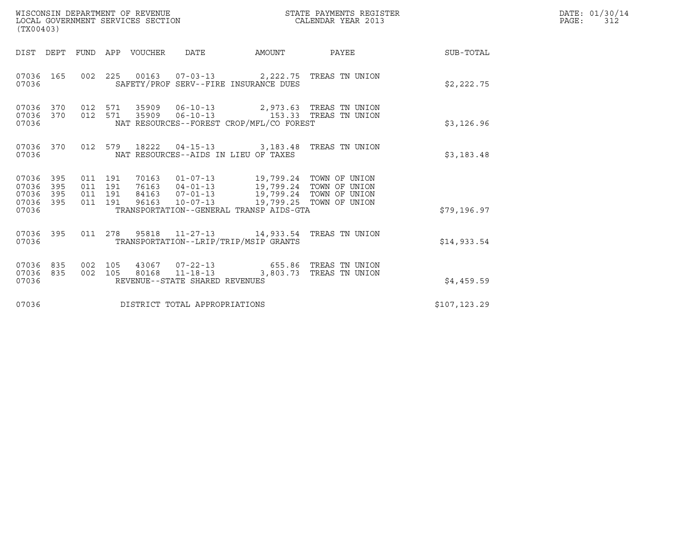| WISCONSIN DEPARTMENT OF REVENUE<br>LOCAL GOVERNMENT SERVICES SECTION<br>(TX00403) |            |                                          |         |                                 |                                                  |                                                                                                                                                                                                                    | STATE PAYMENTS REGISTER<br>CALENDAR YEAR 2013 |                 | DATE: 01/30/14<br>$\mathtt{PAGE:}$<br>312 |
|-----------------------------------------------------------------------------------|------------|------------------------------------------|---------|---------------------------------|--------------------------------------------------|--------------------------------------------------------------------------------------------------------------------------------------------------------------------------------------------------------------------|-----------------------------------------------|-----------------|-------------------------------------------|
|                                                                                   |            |                                          |         | DIST DEPT FUND APP VOUCHER DATE |                                                  | AMOUNT                                                                                                                                                                                                             |                                               | PAYEE SUB-TOTAL |                                           |
| 07036 165<br>07036                                                                |            |                                          |         |                                 |                                                  | 002 225 00163 07-03-13 2,222.75 TREAS TN UNION<br>SAFETY/PROF SERV--FIRE INSURANCE DUES                                                                                                                            |                                               | \$2,222.75      |                                           |
| 07036 370 012 571<br>07036 370<br>07036                                           |            | 012 571                                  |         |                                 |                                                  | NAT RESOURCES--FOREST CROP/MFL/CO FOREST                                                                                                                                                                           |                                               | \$3,126.96      |                                           |
| 07036 370<br>07036                                                                |            |                                          |         |                                 |                                                  | 012 579 18222 04-15-13 3,183.48 TREAS TN UNION<br>NAT RESOURCES--AIDS IN LIEU OF TAXES                                                                                                                             |                                               | \$3,183.48      |                                           |
| 07036 395<br>07036<br>07036<br>07036 395<br>07036                                 | 395<br>395 | 011 191<br>011 191<br>011 191<br>011 191 |         |                                 |                                                  | 70163  01-07-13  19,799.24  TOWN OF UNION<br>76163 04-01-13 19,799.24 TOWN OF UNION<br>84163 07-01-13 19,799.24 TOWN OF UNION<br>96163 10-07-13 19,799.25 TOWN OF UNION<br>TRANSPORTATION--GENERAL TRANSP AIDS-GTA |                                               | \$79,196.97     |                                           |
|                                                                                   |            |                                          |         |                                 |                                                  |                                                                                                                                                                                                                    |                                               |                 |                                           |
| 07036 395<br>07036                                                                |            |                                          | 011 278 |                                 |                                                  | 95818  11-27-13  14,933.54  TREAS TN UNION<br>TRANSPORTATION--LRIP/TRIP/MSIP GRANTS                                                                                                                                |                                               | \$14,933.54     |                                           |
| 07036 835<br>07036 835<br>07036                                                   |            | 002 105<br>002 105                       |         |                                 | 80168 11-18-13<br>REVENUE--STATE SHARED REVENUES | 43067  07-22-13  655.86  TREAS TN UNION                                                                                                                                                                            | 3,803.73 TREAS TN UNION                       | \$4,459.59      |                                           |
| 07036                                                                             |            |                                          |         |                                 | DISTRICT TOTAL APPROPRIATIONS                    |                                                                                                                                                                                                                    |                                               | \$107, 123.29   |                                           |
|                                                                                   |            |                                          |         |                                 |                                                  |                                                                                                                                                                                                                    |                                               |                 |                                           |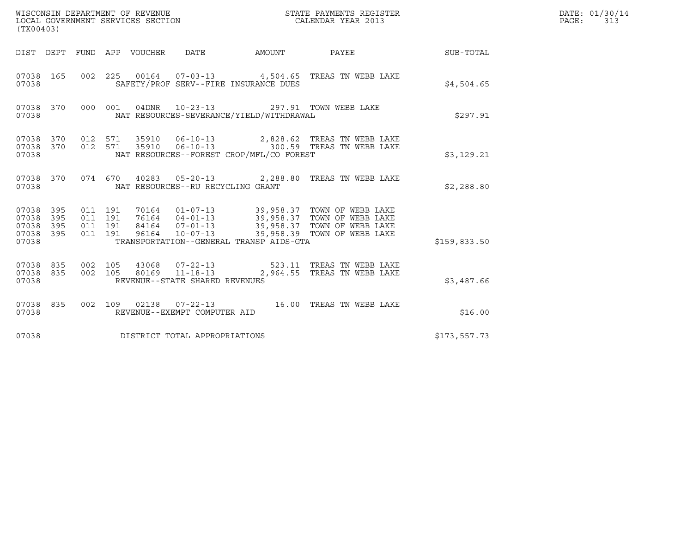| (TX00403)                                 |                          |                                          |         |       | WISCONSIN DEPARTMENT OF REVENUE<br>LOCAL GOVERNMENT SERVICES SECTION |                                                                                          | STATE PAYMENTS REGISTER<br>CALENDAR YEAR 2013                                                                                                                                           |              | DATE: 01/30/14<br>PAGE: 313 |
|-------------------------------------------|--------------------------|------------------------------------------|---------|-------|----------------------------------------------------------------------|------------------------------------------------------------------------------------------|-----------------------------------------------------------------------------------------------------------------------------------------------------------------------------------------|--------------|-----------------------------|
|                                           |                          |                                          |         |       |                                                                      |                                                                                          | DIST DEPT FUND APP VOUCHER DATE AMOUNT PAYEE TO SUB-TOTAL                                                                                                                               |              |                             |
| 07038 165<br>07038                        |                          |                                          |         |       |                                                                      | SAFETY/PROF SERV--FIRE INSURANCE DUES                                                    | 002 225 00164 07-03-13 4,504.65 TREAS TN WEBB LAKE                                                                                                                                      | \$4.504.65   |                             |
| 07038 370<br>07038                        |                          |                                          |         |       |                                                                      | 000 001 04DNR 10-23-13 297.91 TOWN WEBB LAKE<br>NAT RESOURCES-SEVERANCE/YIELD/WITHDRAWAL |                                                                                                                                                                                         | \$297.91     |                             |
| 07038 370<br>07038<br>07038               | 370                      | 012 571                                  | 012 571 |       |                                                                      | NAT RESOURCES--FOREST CROP/MFL/CO FOREST                                                 | 35910  06-10-13  2,828.62  TREAS TN WEBB LAKE<br>35910  06-10-13  300.59  TREAS TN WEBB LAKE                                                                                            | \$3,129.21   |                             |
| 07038                                     | 07038 370                |                                          |         |       | NAT RESOURCES--RU RECYCLING GRANT                                    |                                                                                          | 074  670  40283  05-20-13  2,288.80  TREAS TN WEBB LAKE                                                                                                                                 | \$2,288.80   |                             |
| 07038<br>07038<br>07038<br>07038<br>07038 | 395<br>395<br>395<br>395 | 011 191<br>011 191<br>011 191<br>011 191 |         | 96164 | $10 - 07 - 13$                                                       | TRANSPORTATION--GENERAL TRANSP AIDS-GTA                                                  | 70164   01-07-13   39,958.37   TOWN OF WEBB LAKE<br>76164   04-01-13   39,958.37   TOWN OF WEBB LAKE<br>84164   07-01-13   39,958.37   TOWN OF WEBB LAKE<br>39,958.39 TOWN OF WEBB LAKE | \$159,833.50 |                             |
| 07038 835<br>07038<br>07038               | 835                      | 002 105<br>002 105                       |         |       | REVENUE--STATE SHARED REVENUES                                       |                                                                                          | 43068  07-22-13  523.11 TREAS TN WEBB LAKE<br>80169  11-18-13  2,964.55  TREAS TN WEBB LAKE                                                                                             | \$3,487.66   |                             |
| 07038 835<br>07038                        |                          |                                          |         |       | REVENUE--EXEMPT COMPUTER AID                                         |                                                                                          | 002 109 02138 07-22-13 16.00 TREAS TN WEBB LAKE                                                                                                                                         | \$16.00      |                             |
| 07038                                     |                          |                                          |         |       | DISTRICT TOTAL APPROPRIATIONS                                        |                                                                                          |                                                                                                                                                                                         | \$173,557.73 |                             |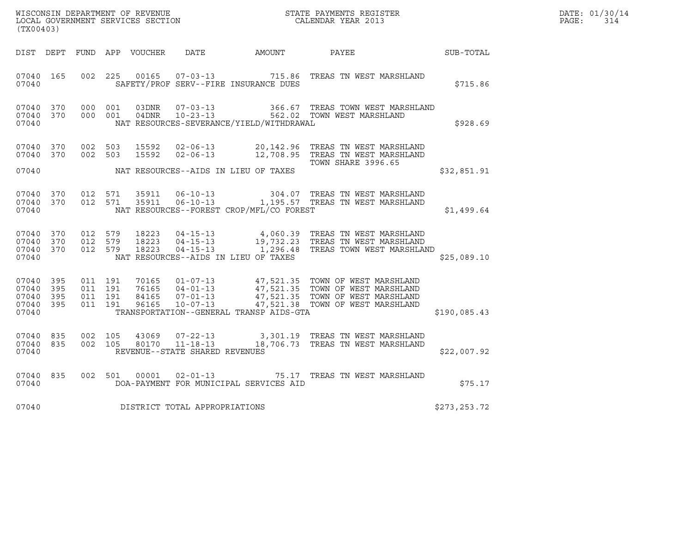| WISCONSIN DEPARTMENT OF REVENUE   | STATE PAYMENTS REGISTER | DATE: 01/30/14 |
|-----------------------------------|-------------------------|----------------|
| LOCAL GOVERNMENT SERVICES SECTION | CALENDAR YEAR 2013      | PAGE:          |

| (TX00403)                                 |                          |                          |                          | WISCONSIN DEPARTMENT OF REVENUE<br>LOCAL GOVERNMENT SERVICES SECTION |                                                                                                                 | STATE PAYMENTS REGISTER<br>CALENDAR YEAR 2013 |                                                                                                                          |               |  |
|-------------------------------------------|--------------------------|--------------------------|--------------------------|----------------------------------------------------------------------|-----------------------------------------------------------------------------------------------------------------|-----------------------------------------------|--------------------------------------------------------------------------------------------------------------------------|---------------|--|
| DIST                                      | DEPT                     | FUND                     | APP                      | VOUCHER                                                              | <b>DATE</b>                                                                                                     | AMOUNT                                        | PAYEE                                                                                                                    | SUB-TOTAL     |  |
| 07040<br>07040                            | 165                      | 002                      | 225                      | 00165                                                                | $07 - 03 - 13$<br>SAFETY/PROF SERV--FIRE INSURANCE DUES                                                         | 715.86                                        | TREAS TN WEST MARSHLAND                                                                                                  | \$715.86      |  |
| 07040<br>07040<br>07040                   | 370<br>370               | 000<br>000               | 001<br>001               | 03DNR<br>04DNR                                                       | $07 - 03 - 13$<br>$10 - 23 - 13$<br>NAT RESOURCES-SEVERANCE/YIELD/WITHDRAWAL                                    |                                               | 366.67   TREAS  TOWN  WEST  MARSHLAND<br>562.02   TOWN  WEST  MARSHLAND                                                  | \$928.69      |  |
| 07040<br>07040                            | 370<br>370               | 002<br>002               | 503<br>503               | 15592<br>15592                                                       | $02 - 06 - 13$<br>$02 - 06 - 13$                                                                                | 20,142.96<br>12,708.95                        | TREAS TN WEST MARSHLAND<br>TREAS TN WEST MARSHLAND<br><b>TOWN SHARE 3996.65</b>                                          |               |  |
| 07040                                     |                          |                          |                          |                                                                      | NAT RESOURCES--AIDS IN LIEU OF TAXES                                                                            |                                               |                                                                                                                          | \$32,851.91   |  |
| 07040<br>07040<br>07040                   | 370<br>370               | 012<br>012               | 571<br>571               | 35911<br>35911                                                       | $06 - 10 - 13$<br>$06 - 10 - 13$<br>NAT RESOURCES--FOREST CROP/MFL/CO FOREST                                    |                                               | 304.07 TREAS TN WEST MARSHLAND<br>1,195.57 TREAS TN WEST MARSHLAND                                                       | \$1,499.64    |  |
| 07040<br>07040<br>07040<br>07040          | 370<br>370<br>370        | 012<br>012<br>012        | 579<br>579<br>579        | 18223<br>18223                                                       | $04 - 15 - 13$<br>18223 04-15-13<br>$04 - 15 - 13$<br>NAT RESOURCES--AIDS IN LIEU OF TAXES                      |                                               | 4,060.39 TREAS TN WEST MARSHLAND<br>19,732.23 TREAS TN WEST MARSHLAND<br>1,296.48 TREAS TOWN WEST MARSHLAND              | \$25,089.10   |  |
| 07040<br>07040<br>07040<br>07040<br>07040 | 395<br>395<br>395<br>395 | 011<br>011<br>011<br>011 | 191<br>191<br>191<br>191 | 70165<br>76165<br>84165<br>96165                                     | $01 - 07 - 13$<br>$04 - 01 - 13$<br>$07 - 01 - 13$<br>$10 - 07 - 13$<br>TRANSPORTATION--GENERAL TRANSP AIDS-GTA | 47,521.35<br>47,521.38                        | 47,521.35 TOWN OF WEST MARSHLAND<br>47,521.35 TOWN OF WEST MARSHLAND<br>TOWN OF WEST MARSHLAND<br>TOWN OF WEST MARSHLAND | \$190,085.43  |  |
| 07040<br>07040<br>07040                   | 835<br>835               | 002<br>002               | 105<br>105               | 43069<br>80170                                                       | $07 - 22 - 13$<br>$11 - 18 - 13$<br>REVENUE--STATE SHARED REVENUES                                              | 18,706.73                                     | 3,301.19 TREAS TN WEST MARSHLAND<br>TREAS TN WEST MARSHLAND                                                              | \$22,007.92   |  |
| 07040<br>07040                            | 835                      | 002                      | 501                      | 00001                                                                | $02 - 01 - 13$<br>DOA-PAYMENT FOR MUNICIPAL SERVICES AID                                                        | 75.17                                         | TREAS TN WEST MARSHLAND                                                                                                  | \$75.17       |  |
| 07040                                     |                          |                          |                          |                                                                      | DISTRICT TOTAL APPROPRIATIONS                                                                                   |                                               |                                                                                                                          | \$273, 253.72 |  |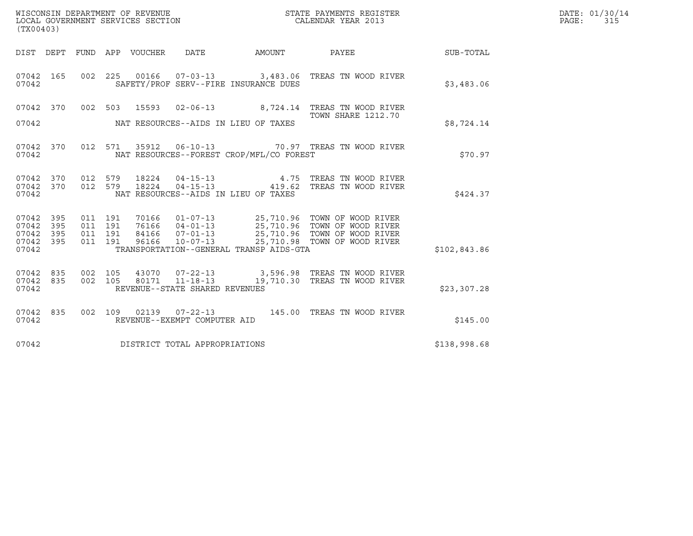| (TX00403)                                         |            |                                          |         |       | WISCONSIN DEPARTMENT OF REVENUE<br>LOCAL GOVERNMENT SERVICES SECTION |                                          | STATE PAYMENTS REGISTER<br>CALENDAR YEAR 2013                                                                                                                                                        |              | DATE: 01/30/14<br>PAGE: 315 |
|---------------------------------------------------|------------|------------------------------------------|---------|-------|----------------------------------------------------------------------|------------------------------------------|------------------------------------------------------------------------------------------------------------------------------------------------------------------------------------------------------|--------------|-----------------------------|
| DIST DEPT                                         |            |                                          |         |       |                                                                      | FUND APP VOUCHER DATE AMOUNT PAYEE       |                                                                                                                                                                                                      | SUB-TOTAL    |                             |
| 07042 165<br>07042                                |            |                                          |         |       |                                                                      | SAFETY/PROF SERV--FIRE INSURANCE DUES    | 002  225  00166  07-03-13  3,483.06  TREAS  TN  WOOD RIVER                                                                                                                                           | \$3,483.06   |                             |
| 07042 370                                         |            |                                          |         |       |                                                                      |                                          | 002 503 15593 02-06-13 8,724.14 TREAS TN WOOD RIVER                                                                                                                                                  |              |                             |
| 07042                                             |            |                                          |         |       |                                                                      | NAT RESOURCES--AIDS IN LIEU OF TAXES     | <b>TOWN SHARE 1212.70</b>                                                                                                                                                                            | \$8,724.14   |                             |
| 07042 370<br>07042                                |            |                                          |         |       |                                                                      | NAT RESOURCES--FOREST CROP/MFL/CO FOREST | 012 571 35912 06-10-13 70.97 TREAS TN WOOD RIVER                                                                                                                                                     | \$70.97      |                             |
| 07042 370<br>07042                                |            | 07042 370 012 579                        | 012 579 |       |                                                                      | NAT RESOURCES--AIDS IN LIEU OF TAXES     | 18224   04-15-13   4.75   TREAS TN WOOD RIVER<br>18224   04-15-13   419.62   TREAS TN WOOD RIVER                                                                                                     | \$424.37     |                             |
| 07042 395<br>07042<br>07042<br>07042 395<br>07042 | 395<br>395 | 011 191<br>011 191<br>011 191<br>011 191 |         |       |                                                                      | TRANSPORTATION--GENERAL TRANSP AIDS-GTA  | 70166  01-07-13  25,710.96  TOWN OF WOOD RIVER<br>76166  04-01-13  25,710.96  TOWN OF WOOD RIVER<br>84166  07-01-13  25,710.96  TOWN OF WOOD RIVER<br>96166  10-07-13  25,710.98  TOWN OF WOOD RIVER | \$102,843.86 |                             |
| 07042<br>07042 835<br>07042                       | 835        | 002 105<br>002 105                       |         | 80171 | REVENUE--STATE SHARED REVENUES                                       |                                          | 43070  07-22-13  3,596.98  TREAS TN WOOD RIVER<br>11-18-13 19,710.30 TREAS TN WOOD RIVER                                                                                                             | \$23,307.28  |                             |
| 07042 835<br>07042                                |            |                                          |         |       | REVENUE--EXEMPT COMPUTER AID                                         |                                          | 002 109 02139 07-22-13 145.00 TREAS TN WOOD RIVER                                                                                                                                                    | \$145.00     |                             |
| 07042                                             |            |                                          |         |       | DISTRICT TOTAL APPROPRIATIONS                                        |                                          |                                                                                                                                                                                                      | \$138,998.68 |                             |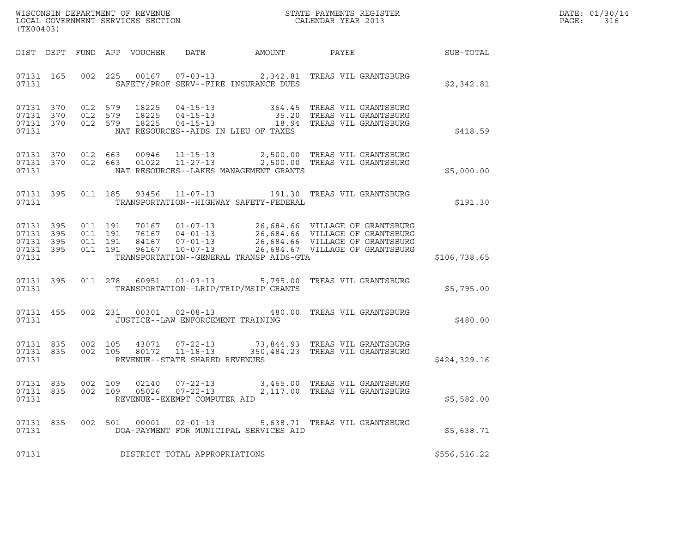| WISCONSIN DEPARTMENT OF REVENUE   | STATE PAYMENTS REGISTER | DATE: 01/30/14 |
|-----------------------------------|-------------------------|----------------|
| LOCAL GOVERNMENT SERVICES SECTION | CALENDAR YEAR 2013      | PAGE :         |

| WISCONSIN DEPARTMENT OF REVENUE<br>LOCAL GOVERNMENT SERVICES SECTION THE CONFIDENT STATE PAYMENTS REGISTER<br>(TWOOACO)<br>(TX00403) |  |  |  |  |                                                        |                                              |                                                                                                                                                                                                                 |              | DATE: 01/30/14<br>PAGE: 316 |
|--------------------------------------------------------------------------------------------------------------------------------------|--|--|--|--|--------------------------------------------------------|----------------------------------------------|-----------------------------------------------------------------------------------------------------------------------------------------------------------------------------------------------------------------|--------------|-----------------------------|
|                                                                                                                                      |  |  |  |  |                                                        |                                              | DIST DEPT FUND APP VOUCHER DATE AMOUNT PAYEE PAYER SUB-TOTAL                                                                                                                                                    |              |                             |
|                                                                                                                                      |  |  |  |  |                                                        | 07131 SAFETY/PROF SERV--FIRE INSURANCE DUES  | 07131 165 002 225 00167 07-03-13 2,342.81 TREAS VIL GRANTSBURG                                                                                                                                                  | \$2,342.81   |                             |
| 07131 370<br>07131 370<br>07131 370<br>07131                                                                                         |  |  |  |  |                                                        | NAT RESOURCES--AIDS IN LIEU OF TAXES         | 012 579 18225 04-15-13 364.45 TREAS VIL GRANTSBURG<br>012 579 18225 04-15-13 35.20 TREAS VIL GRANTSBURG<br>012 579 18225 04-15-13 18.94 TREAS VIL GRANTSBURG                                                    | \$418.59     |                             |
| 07131                                                                                                                                |  |  |  |  |                                                        | NAT RESOURCES--LAKES MANAGEMENT GRANTS       | $\begin{array}{cccc} 07131 & 370 & 012 & 663 & 00946 & 11-15-13 & 2,500.00 & \text{TREAS VII GRANTSBURG} \\ 07131 & 370 & 012 & 663 & 01022 & 11-27-13 & 2,500.00 & \text{TREAS VII GRANTSBURG} \end{array}$    | \$5,000.00   |                             |
|                                                                                                                                      |  |  |  |  |                                                        | 07131 TRANSPORTATION--HIGHWAY SAFETY-FEDERAL | 07131 395 011 185 93456 11-07-13 191.30 TREAS VIL GRANTSBURG                                                                                                                                                    | \$191.30     |                             |
| 07131 395<br>07131 395<br>07131 395<br>07131 395<br>07131                                                                            |  |  |  |  |                                                        |                                              | TRANSPORTATION--GENERAL TRANSP AIDS-GTA                                                                                                                                                                         | \$106,738.65 |                             |
|                                                                                                                                      |  |  |  |  |                                                        | 07131 TRANSPORTATION--LRIP/TRIP/MSIP GRANTS  | 07131 395 011 278 60951 01-03-13 5,795.00 TREAS VIL GRANTSBURG                                                                                                                                                  | \$5,795.00   |                             |
|                                                                                                                                      |  |  |  |  |                                                        | 07131 JUSTICE--LAW ENFORCEMENT TRAINING      | 07131 455 002 231 00301 02-08-13 480.00 TREAS VIL GRANTSBURG                                                                                                                                                    | \$480.00     |                             |
| 07131                                                                                                                                |  |  |  |  | REVENUE--STATE SHARED REVENUES                         |                                              | $\begin{array}{cccc} 07131 & 835 & 002 & 105 & 43071 & 07-22-13 & 73,844.93 & \text{TREAS VII GRANTSBURG} \\ 07131 & 835 & 002 & 105 & 80172 & 11-18-13 & 350,484.23 & \text{TREAS VII GRANTSBURG} \end{array}$ | \$424,329.16 |                             |
| 07131 835<br>07131                                                                                                                   |  |  |  |  | 002 109 05026 07-22-13<br>REVENUE--EXEMPT COMPUTER AID |                                              | 07131 835 002 109 02140 07-22-13 3,465.00 TREAS VIL GRANTSBURG<br>2,117.00 TREAS VIL GRANTSBURG                                                                                                                 | \$5,582.00   |                             |
| 07131 835<br>07131                                                                                                                   |  |  |  |  | 002 501 00001 02-01-13                                 | DOA-PAYMENT FOR MUNICIPAL SERVICES AID       | 5,638.71 TREAS VIL GRANTSBURG                                                                                                                                                                                   | \$5,638.71   |                             |
| 07131                                                                                                                                |  |  |  |  | DISTRICT TOTAL APPROPRIATIONS                          |                                              |                                                                                                                                                                                                                 | \$556,516.22 |                             |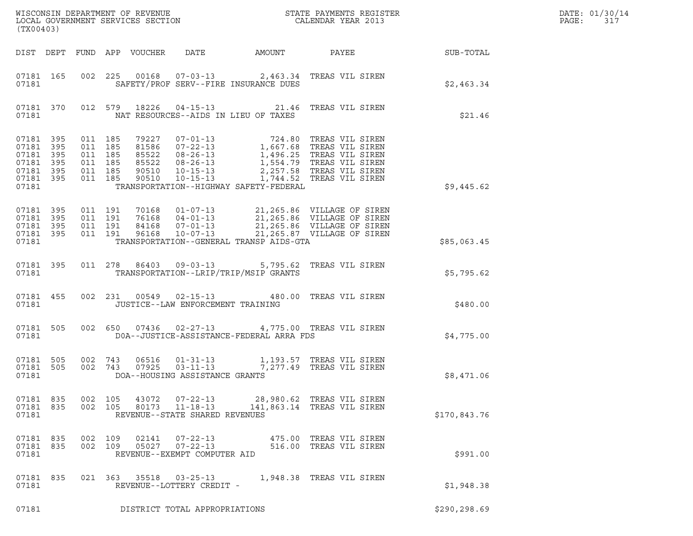| (TX00403)                                                                           |  |                                                     |                                          |       |                                                                  |                                          |                                                                                                                                                                                                                                          |               | DATE: 01/30/14<br>PAGE:<br>317 |
|-------------------------------------------------------------------------------------|--|-----------------------------------------------------|------------------------------------------|-------|------------------------------------------------------------------|------------------------------------------|------------------------------------------------------------------------------------------------------------------------------------------------------------------------------------------------------------------------------------------|---------------|--------------------------------|
|                                                                                     |  |                                                     |                                          |       |                                                                  |                                          |                                                                                                                                                                                                                                          |               |                                |
| 07181                                                                               |  |                                                     |                                          |       |                                                                  | SAFETY/PROF SERV--FIRE INSURANCE DUES    | 07181 165 002 225 00168 07-03-13 2,463.34 TREAS VIL SIREN                                                                                                                                                                                | \$2,463.34    |                                |
| 07181                                                                               |  |                                                     |                                          |       |                                                                  | NAT RESOURCES--AIDS IN LIEU OF TAXES     | 07181 370 012 579 18226 04-15-13 21.46 TREAS VIL SIREN                                                                                                                                                                                   | \$21.46       |                                |
| 07181 395<br>07181 395<br>07181 395<br>07181 395<br>07181 395<br>07181 395<br>07181 |  | 011 185<br>011 185<br>011 185<br>011 185<br>011 185 | 011 185                                  |       |                                                                  | TRANSPORTATION--HIGHWAY SAFETY-FEDERAL   | 79227 07-01-13 724.80 TREAS VIL SIREN<br>81586 07-22-13 1,667.68 TREAS VIL SIREN<br>85522 08-26-13 1,496.25 TREAS VIL SIREN<br>85522 08-26-13 1,554.79 TREAS VIL SIREN<br>90510 10-15-13 2,257.58 TREAS VIL SIREN<br>90510 10-15-13 1,74 | \$9,445.62    |                                |
| 07181 395<br>07181 395<br>07181 395<br>07181 395<br>07181                           |  |                                                     | 011 191<br>011 191<br>011 191<br>011 191 |       |                                                                  | TRANSPORTATION--GENERAL TRANSP AIDS-GTA  | 70168  01-07-13  21,265.86  VILLAGE OF SIREN<br>76168  04-01-13  21,265.86  VILLAGE OF SIREN<br>84168  07-01-13  21,265.86  VILLAGE OF SIREN<br>96168  10-07-13  21,265.87  VILLAGE OF SIREN                                             | \$85,063.45   |                                |
| 07181                                                                               |  |                                                     |                                          |       |                                                                  | TRANSPORTATION--LRIP/TRIP/MSIP GRANTS    | 07181 395 011 278 86403 09-03-13 5,795.62 TREAS VIL SIREN                                                                                                                                                                                | \$5,795.62    |                                |
| 07181 455<br>07181                                                                  |  |                                                     |                                          |       | JUSTICE--LAW ENFORCEMENT TRAINING                                |                                          | 002 231 00549 02-15-13 480.00 TREAS VIL SIREN                                                                                                                                                                                            | \$480.00      |                                |
| 07181 505<br>07181                                                                  |  |                                                     |                                          |       |                                                                  | DOA--JUSTICE-ASSISTANCE-FEDERAL ARRA FDS | 002 650 07436 02-27-13 4,775.00 TREAS VIL SIREN                                                                                                                                                                                          | \$4,775.00    |                                |
| 07181                                                                               |  |                                                     |                                          |       | DOA--HOUSING ASSISTANCE GRANTS                                   |                                          | 07181 505 002 743 06516 01-31-13 1,193.57 TREAS VIL SIREN<br>07181 505 002 743 07925 03-11-13 7,277.49 TREAS VIL SIREN                                                                                                                   | \$8,471.06    |                                |
| 07181 835<br>07181 835<br>07181                                                     |  | 002 105                                             | 002 105                                  | 80173 | $11 - 18 - 13$<br>REVENUE--STATE SHARED REVENUES                 |                                          | 43072  07-22-13  28,980.62  TREAS VIL SIREN<br>141,863.14 TREAS VIL SIREN                                                                                                                                                                | \$170,843.76  |                                |
| 07181 835<br>07181 835<br>07181                                                     |  |                                                     | 002 109<br>002 109                       | 02141 | $07 - 22 - 13$<br>05027 07-22-13<br>REVENUE--EXEMPT COMPUTER AID |                                          | 475.00 TREAS VIL SIREN<br>516.00 TREAS VIL SIREN                                                                                                                                                                                         | \$991.00      |                                |
| 07181 835<br>07181                                                                  |  |                                                     |                                          |       | REVENUE--LOTTERY CREDIT -                                        |                                          | 021  363  35518  03-25-13   1,948.38  TREAS VIL SIREN                                                                                                                                                                                    | \$1,948.38    |                                |
| 07181                                                                               |  |                                                     |                                          |       | DISTRICT TOTAL APPROPRIATIONS                                    |                                          |                                                                                                                                                                                                                                          | \$290, 298.69 |                                |